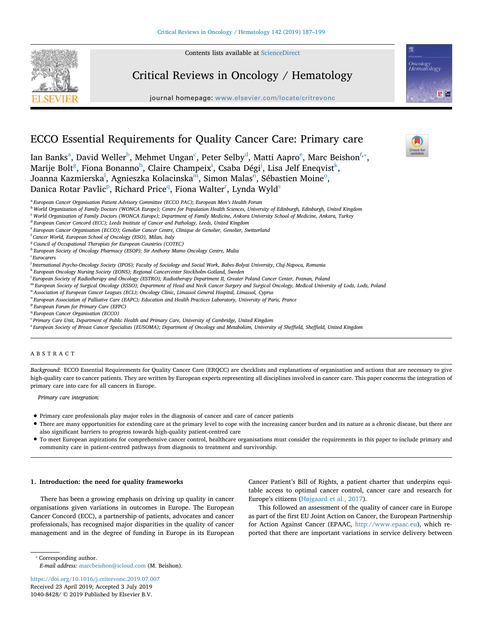Contents lists available at [ScienceDirect](http://www.sciencedirect.com/science/journal/10408428)



Critical Reviews in Oncology / Hematology

journal homepage: [www.elsevier.com/locate/critrevonc](https://www.elsevier.com/locate/critrevonc)



 $\sum_{\text{the}}$ 

# ECCO Essential Requirements for Quality Cancer Care: Primary care

I[a](#page-0-0)n Banks<sup>a</sup>, David Weller<sup>[b](#page-0-1)</sup>, Mehmet Ungan<sup>[c](#page-0-2)</sup>, Peter Selby<sup>[d](#page-0-3)</sup>, Matti Aapro<sup>[e](#page-0-4)</sup>, Marc Beishon<sup>[f](#page-0-5),</sup>\*, Marije Bolt<sup>[g](#page-0-7)</sup>, Fiona Bonanno<sup>[h](#page-0-8)</sup>, Claire Champeix<sup>i</sup>, Csaba Dégi<sup>[j](#page-0-10)</sup>, Lisa Jelf Eneqvist<sup>k</sup>, Joa[n](#page-0-14)na Kazmierska $^{\rm l}$ , Agnieszka K[o](#page-0-15)lacinska $^{\rm m}$ , Simon M[al](#page-0-12)as $^{\rm n}$ , Sébastien Moine $^{\rm o}$ , Danica Rotar Pavlic<su[p](#page-0-16)>p</sup>, Richa[r](#page-0-18)d Price<sup>q</sup>, Fiona Walter<sup>r</sup>, Lynda Wyld<sup>s</sup>

<span id="page-0-0"></span><sup>a</sup> *European Cancer Organisation Patient Advisory Committee (ECCO PAC); European Men's Health Forum*

<span id="page-0-1"></span><sup>b</sup> *World Organization of Family Doctors (WONCA Europe); Centre for Population Health Sciences, University of Edinburgh, Edinburgh, United Kingdom*

<span id="page-0-2"></span><sup>c</sup> *World Organization of Family Doctors (WONCA Europe); Department of Family Medicine, Ankara University School of Medicine, Ankara, Turkey*

<span id="page-0-3"></span><sup>d</sup> *European Cancer Concord (ECC); Leeds Institute of Cancer and Pathology, Leeds, United Kingdom*

<span id="page-0-4"></span><sup>e</sup> *European Cancer Organisation (ECCO); Genolier Cancer Centre, Clinique de Genolier, Genolier, Switzerland*

<span id="page-0-5"></span>f *Cancer World, European School of Oncology (ESO), Milan, Italy*

<span id="page-0-7"></span><sup>g</sup> *Council of Occupational Therapists for European Countries (COTEC)*

<span id="page-0-8"></span><sup>h</sup> *European Society of Oncology Pharmacy (ESOP); Sir Anthony Mamo Oncology Centre, Malta*

<span id="page-0-9"></span>i *Eurocarers*

- <span id="page-0-10"></span>j *International Psycho-Oncology Society (IPOS); Faculty of Sociology and Social Work, Babes-Bolyai University, Cluj-Napoca, Romania*
- <span id="page-0-11"></span><sup>k</sup> *European Oncology Nursing Society (EONS); Regional Cancercenter Stockholm-Gotland, Sweden*
- <span id="page-0-12"></span>l *European Society of Radiotherapy and Oncology (ESTRO); Radiotherapy Department II, Greater Poland Cancer Center, Poznan, Poland*
- <span id="page-0-13"></span><sup>m</sup> *European Society of Surgical Oncology (ESSO); Department of Head and Neck Cancer Surgery and Surgical Oncology, Medical University of Lodz, Lodz, Poland*
- <span id="page-0-14"></span><sup>n</sup> *Association of European Cancer Leagues (ECL); Oncology Clinic, Limassol General Hospital, Limassol, Cyprus*
- <span id="page-0-15"></span><sup>o</sup> *European Association of Palliative Care (EAPC); Education and Health Practices Laboratory, University of Paris, France*
- <span id="page-0-16"></span><sup>p</sup> *European Forum for Primary Care (EFPC)*
- <span id="page-0-17"></span><sup>q</sup> *European Cancer Organisation (ECCO)*
- <span id="page-0-18"></span>r *Primary Care Unit, Department of Public Health and Primary Care, University of Cambridge, United Kingdom*
- <span id="page-0-19"></span>s *European Society of Breast Cancer Specialists (EUSOMA); Department of Oncology and Metabolism, University of Sheffield, Sheffield, United Kingdom*

## ABSTRACT

*Background:* ECCO Essential Requirements for Quality Cancer Care (ERQCC) are checklists and explanations of organisation and actions that are necessary to give high-quality care to cancer patients. They are written by European experts representing all disciplines involved in cancer care. This paper concerns the integration of primary care into care for all cancers in Europe.

*Primary care integration:*

- Primary care professionals play major roles in the diagnosis of cancer and care of cancer patients
- There are many opportunities for extending care at the primary level to cope with the increasing cancer burden and its nature as a chronic disease, but there are also significant barriers to progress towards high-quality patient-centred care
- To meet European aspirations for comprehensive cancer control, healthcare organisations must consider the requirements in this paper to include primary and community care in patient-centred pathways from diagnosis to treatment and survivorship.

#### **1. Introduction: the need for quality frameworks**

There has been a growing emphasis on driving up quality in cancer organisations given variations in outcomes in Europe. The European Cancer Concord (ECC), a partnership of patients, advocates and cancer professionals, has recognised major disparities in the quality of cancer management and in the degree of funding in Europe in its European

Cancer Patient's Bill of Rights, a patient charter that underpins equitable access to optimal cancer control, cancer care and research for Europe's citizens ([Højgaard et al., 2017](#page-10-0)).

This followed an assessment of the quality of cancer care in Europe as part of the first EU Joint Action on Cancer, the European Partnership for Action Against Cancer (EPAAC, <http://www.epaac.eu>), which reported that there are important variations in service delivery between

<span id="page-0-6"></span>⁎ Corresponding author.

<https://doi.org/10.1016/j.critrevonc.2019.07.007> Received 23 April 2019; Accepted 3 July 2019 1040-8428/ © 2019 Published by Elsevier B.V.

*E-mail address:* [marcbeishon@icloud.com](mailto:marcbeishon@icloud.com) (M. Beishon).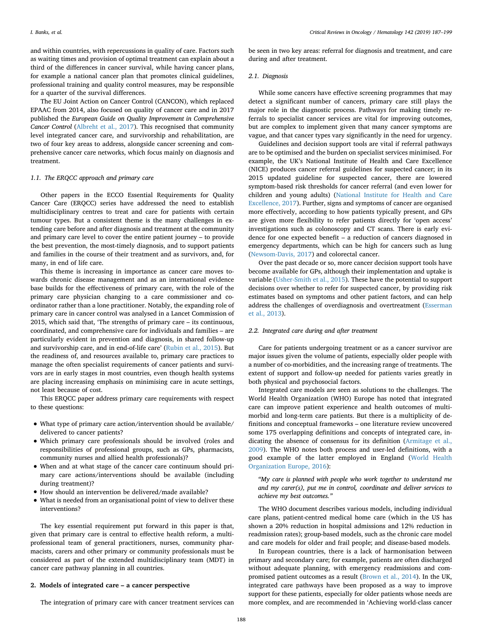and within countries, with repercussions in quality of care. Factors such as waiting times and provision of optimal treatment can explain about a third of the differences in cancer survival, while having cancer plans, for example a national cancer plan that promotes clinical guidelines, professional training and quality control measures, may be responsible for a quarter of the survival differences.

The EU Joint Action on Cancer Control (CANCON), which replaced EPAAC from 2014, also focused on quality of cancer care and in 2017 published the *European Guide on Quality Improvement in Comprehensive Cancer Control* ([Albreht et al., 2017](#page-10-1)). This recognised that community level integrated cancer care, and survivorship and rehabilitation, are two of four key areas to address, alongside cancer screening and comprehensive cancer care networks, which focus mainly on diagnosis and treatment.

## *1.1. The ERQCC approach and primary care*

Other papers in the ECCO Essential Requirements for Quality Cancer Care (ERQCC) series have addressed the need to establish multidisciplinary centres to treat and care for patients with certain tumour types. But a consistent theme is the many challenges in extending care before and after diagnosis and treatment at the community and primary care level to cover the entire patient journey – to provide the best prevention, the most-timely diagnosis, and to support patients and families in the course of their treatment and as survivors, and, for many, in end of life care.

This theme is increasing in importance as cancer care moves towards chronic disease management and as an international evidence base builds for the effectiveness of primary care, with the role of the primary care physician changing to a care commissioner and coordinator rather than a lone practitioner. Notably, the expanding role of primary care in cancer control was analysed in a Lancet Commission of 2015, which said that, 'The strengths of primary care – its continuous, coordinated, and comprehensive care for individuals and families – are particularly evident in prevention and diagnosis, in shared follow-up and survivorship care, and in end-of-life care' ([Rubin et al., 2015\)](#page-11-0). But the readiness of, and resources available to, primary care practices to manage the often specialist requirements of cancer patients and survivors are in early stages in most countries, even though health systems are placing increasing emphasis on minimising care in acute settings, not least because of cost.

This ERQCC paper address primary care requirements with respect to these questions:

- What type of primary care action/intervention should be available/ delivered to cancer patients?
- Which primary care professionals should be involved (roles and responsibilities of professional groups, such as GPs, pharmacists, community nurses and allied health professionals)?
- When and at what stage of the cancer care continuum should primary care actions/interventions should be available (including during treatment)?
- How should an intervention be delivered/made available?
- What is needed from an organisational point of view to deliver these interventions?

The key essential requirement put forward in this paper is that, given that primary care is central to effective health reform, a multiprofessional team of general practitioners, nurses, community pharmacists, carers and other primary or community professionals must be considered as part of the extended multidisciplinary team (MDT) in cancer care pathway planning in all countries.

# **2. Models of integrated care – a cancer perspective**

The integration of primary care with cancer treatment services can

be seen in two key areas: referral for diagnosis and treatment, and care during and after treatment.

# *2.1. Diagnosis*

While some cancers have effective screening programmes that may detect a significant number of cancers, primary care still plays the major role in the diagnostic process. Pathways for making timely referrals to specialist cancer services are vital for improving outcomes, but are complex to implement given that many cancer symptoms are vague, and that cancer types vary significantly in the need for urgency.

Guidelines and decision support tools are vital if referral pathways are to be optimised and the burden on specialist services minimised. For example, the UK's National Institute of Health and Care Excellence (NICE) produces cancer referral guidelines for suspected cancer; in its 2015 updated guideline for suspected cancer, there are lowered symptom-based risk thresholds for cancer referral (and even lower for children and young adults) ([National Institute for Health and Care](#page-11-1) [Excellence, 2017\)](#page-11-1). Further, signs and symptoms of cancer are organised more effectively, according to how patients typically present, and GPs are given more flexibility to refer patients directly for 'open access' investigations such as colonoscopy and CT scans. There is early evidence for one expected benefit – a reduction of cancers diagnosed in emergency departments, which can be high for cancers such as lung ([Newsom-Davis, 2017\)](#page-11-2) and colorectal cancer.

Over the past decade or so, more cancer decision support tools have become available for GPs, although their implementation and uptake is variable [\(Usher-Smith et al., 2015\)](#page-12-0). These have the potential to support decisions over whether to refer for suspected cancer, by providing risk estimates based on symptoms and other patient factors, and can help address the challenges of overdiagnosis and overtreatment [\(Esserman](#page-10-2) [et al., 2013](#page-10-2)).

#### *2.2. Integrated care during and after treatment*

Care for patients undergoing treatment or as a cancer survivor are major issues given the volume of patients, especially older people with a number of co-morbidities, and the increasing range of treatments. The extent of support and follow-up needed for patients varies greatly in both physical and psychosocial factors.

Integrated care models are seen as solutions to the challenges. The World Health Organization (WHO) Europe has noted that integrated care can improve patient experience and health outcomes of multimorbid and long-term care patients. But there is a multiplicity of definitions and conceptual frameworks – one literature review uncovered some 175 overlapping definitions and concepts of integrated care, indicating the absence of consensus for its definition [\(Armitage et al.,](#page-10-3) [2009\)](#page-10-3). The WHO notes both process and user-led definitions, with a good example of the latter employed in England ([World Health](#page-12-1) [Organization Europe, 2016\)](#page-12-1):

*"My care is planned with people who work together to understand me and my carer(s), put me in control, coordinate and deliver services to achieve my best outcomes."*

The WHO document describes various models, including individual care plans, patient-centred medical home care (which in the US has shown a 20% reduction in hospital admissions and 12% reduction in readmission rates); group-based models, such as the chronic care model and care models for older and frail people; and disease-based models.

In European countries, there is a lack of harmonisation between primary and secondary care; for example, patients are often discharged without adequate planning, with emergency readmissions and compromised patient outcomes as a result [\(Brown et al., 2014](#page-10-4)). In the UK, integrated care pathways have been proposed as a way to improve support for these patients, especially for older patients whose needs are more complex, and are recommended in 'Achieving world-class cancer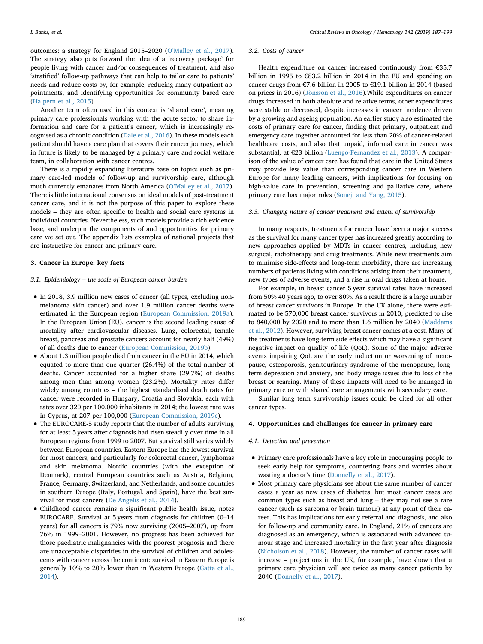outcomes: a strategy for England 2015–2020 ([O'Malley et al., 2017](#page-11-3)). The strategy also puts forward the idea of a 'recovery package' for people living with cancer and/or consequences of treatment, and also 'stratified' follow-up pathways that can help to tailor care to patients' needs and reduce costs by, for example, reducing many outpatient appointments, and identifying opportunities for community based care ([Halpern et al., 2015](#page-10-5)).

Another term often used in this context is 'shared care', meaning primary care professionals working with the acute sector to share information and care for a patient's cancer, which is increasingly recognised as a chronic condition [\(Dale et al., 2016](#page-10-6)). In these models each patient should have a care plan that covers their cancer journey, which in future is likely to be managed by a primary care and social welfare team, in collaboration with cancer centres.

There is a rapidly expanding literature base on topics such as primary care-led models of follow-up and survivorship care, although much currently emanates from North America [\(O'Malley et al., 2017](#page-11-3)). There is little international consensus on ideal models of post-treatment cancer care, and it is not the purpose of this paper to explore these models – they are often specific to health and social care systems in individual countries. Nevertheless, such models provide a rich evidence base, and underpin the components of and opportunities for primary care we set out. The appendix lists examples of national projects that are instructive for cancer and primary care.

#### **3. Cancer in Europe: key facts**

#### *3.1. Epidemiology – the scale of European cancer burden*

- In 2018, 3.9 million new cases of cancer (all types, excluding nonmelanoma skin cancer) and over 1.9 million cancer deaths were estimated in the European region [\(European Commission, 2019a](#page-10-7)). In the European Union (EU), cancer is the second leading cause of mortality after cardiovascular diseases. Lung, colorectal, female breast, pancreas and prostate cancers account for nearly half (49%) of all deaths due to cancer ([European Commission, 2019b](#page-10-8)).
- About 1.3 million people died from cancer in the EU in 2014, which equated to more than one quarter (26.4%) of the total number of deaths. Cancer accounted for a higher share (29.7%) of deaths among men than among women (23.2%). Mortality rates differ widely among countries – the highest standardised death rates for cancer were recorded in Hungary, Croatia and Slovakia, each with rates over 320 per 100,000 inhabitants in 2014; the lowest rate was in Cyprus, at 207 per 100,000 ([European Commission, 2019c\)](#page-10-9).
- The EUROCARE-5 study reports that the number of adults surviving for at least 5 years after diagnosis had risen steadily over time in all European regions from 1999 to 2007. But survival still varies widely between European countries. Eastern Europe has the lowest survival for most cancers, and particularly for colorectal cancer, lymphomas and skin melanoma. Nordic countries (with the exception of Denmark), central European countries such as Austria, Belgium, France, Germany, Switzerland, and Netherlands, and some countries in southern Europe (Italy, Portugal, and Spain), have the best survival for most cancers ([De Angelis et al., 2014\)](#page-10-10).
- Childhood cancer remains a significant public health issue, notes EUROCARE. Survival at 5 years from diagnosis for children (0–14 years) for all cancers is 79% now surviving (2005–2007), up from 76% in 1999–2001. However, no progress has been achieved for those paediatric malignancies with the poorest prognosis and there are unacceptable disparities in the survival of children and adolescents with cancer across the continent: survival in Eastern Europe is generally 10% to 20% lower than in Western Europe [\(Gatta et al.,](#page-10-11) [2014](#page-10-11)).

#### *3.2. Costs of cancer*

Health expenditure on cancer increased continuously from €35.7 billion in 1995 to €83.2 billion in 2014 in the EU and spending on cancer drugs from €7.6 billion in 2005 to €19.1 billion in 2014 (based on prices in 2016) ([Jönsson et al., 2016](#page-10-12)).While expenditures on cancer drugs increased in both absolute and relative terms, other expenditures were stable or decreased, despite increases in cancer incidence driven by a growing and ageing population. An earlier study also estimated the costs of primary care for cancer, finding that primary, outpatient and emergency care together accounted for less than 20% of cancer-related healthcare costs, and also that unpaid, informal care in cancer was substantial, at €23 billion [\(Luengo-Fernandez et al., 2013\)](#page-11-4). A comparison of the value of cancer care has found that care in the United States may provide less value than corresponding cancer care in Western Europe for many leading cancers, with implications for focusing on high-value care in prevention, screening and palliative care, where primary care has major roles [\(Soneji and Yang, 2015\)](#page-11-5).

#### *3.3. Changing nature of cancer treatment and extent of survivorship*

In many respects, treatments for cancer have been a major success as the survival for many cancer types has increased greatly according to new approaches applied by MDTs in cancer centres, including new surgical, radiotherapy and drug treatments. While new treatments aim to minimise side-effects and long-term morbidity, there are increasing numbers of patients living with conditions arising from their treatment, new types of adverse events, and a rise in oral drugs taken at home.

For example, in breast cancer 5 year survival rates have increased from 50% 40 years ago, to over 80%. As a result there is a large number of breast cancer survivors in Europe. In the UK alone, there were estimated to be 570,000 breast cancer survivors in 2010, predicted to rise to 840,000 by 2020 and to more than 1.6 million by 2040 ([Maddams](#page-11-6) [et al., 2012\)](#page-11-6). However, surviving breast cancer comes at a cost. Many of the treatments have long-term side effects which may have a significant negative impact on quality of life (QoL). Some of the major adverse events impairing QoL are the early induction or worsening of menopause, osteoporosis, genitourinary syndrome of the menopause, longterm depression and anxiety, and body image issues due to loss of the breast or scarring. Many of these impacts will need to be managed in primary care or with shared care arrangements with secondary care.

Similar long term survivorship issues could be cited for all other cancer types.

#### **4. Opportunities and challenges for cancer in primary care**

#### *4.1. Detection and prevention*

- Primary care professionals have a key role in encouraging people to seek early help for symptoms, countering fears and worries about wasting a doctor's time ([Donnelly et al., 2017](#page-10-13)).
- Most primary care physicians see about the same number of cancer cases a year as new cases of diabetes, but most cancer cases are common types such as breast and lung – they may not see a rare cancer (such as sarcoma or brain tumour) at any point of their career. This has implications for early referral and diagnosis, and also for follow-up and community care. In England, 21% of cancers are diagnosed as an emergency, which is associated with advanced tumour stage and increased mortality in the first year after diagnosis [\(Nicholson et al., 2018](#page-11-7)). However, the number of cancer cases will increase – projections in the UK, for example, have shown that a primary care physician will see twice as many cancer patients by 2040 ([Donnelly et al., 2017](#page-10-13)).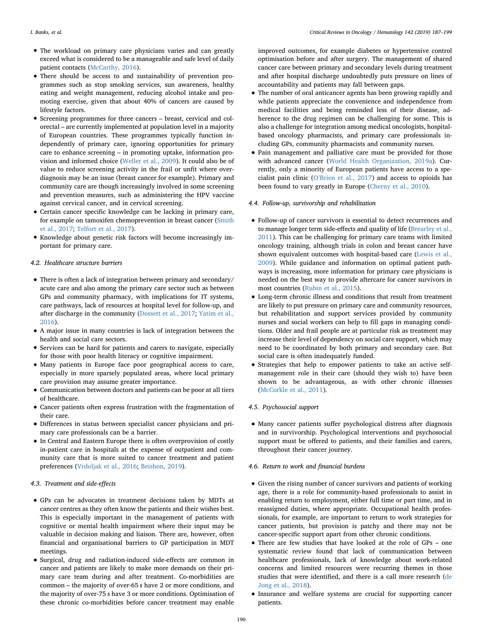- The workload on primary care physicians varies and can greatly exceed what is considered to be a manageable and safe level of daily patient contacts [\(McCarthy, 2016\)](#page-11-8).
- There should be access to and sustainability of prevention programmes such as stop smoking services, sun awareness, healthy eating and weight management, reducing alcohol intake and promoting exercise, given that about 40% of cancers are caused by lifestyle factors.
- Screening programmes for three cancers breast, cervical and colorectal – are currently implemented at population level in a majority of European countries. These programmes typically function independently of primary care, ignoring opportunities for primary care to enhance screening – in promoting uptake, information provision and informed choice [\(Weller et al., 2009](#page-12-2)). It could also be of value to reduce screening activity in the frail or unfit where overdiagnosis may be an issue (breast cancer for example). Primary and community care are though increasingly involved in some screening and prevention measures, such as administering the HPV vaccine against cervical cancer, and in cervical screening.
- Certain cancer specific knowledge can be lacking in primary care, for example on tamoxifen chemoprevention in breast cancer [\(Smith](#page-11-9) [et al., 2017](#page-11-9); [Telfort et al., 2017](#page-12-3)).
- Knowledge about genetic risk factors will become increasingly important for primary care.

#### *4.2. Healthcare structure barriers*

- There is often a lack of integration between primary and secondary/ acute care and also among the primary care sector such as between GPs and community pharmacy, with implications for IT systems, care pathways, lack of resources at hospital level for follow-up, and after discharge in the community ([Dossett et al., 2017;](#page-10-14) [Yatim et al.,](#page-12-4) [2016](#page-12-4)).
- A major issue in many countries is lack of integration between the health and social care sectors.
- Services can be hard for patients and carers to navigate, especially for those with poor health literacy or cognitive impairment.
- Many patients in Europe face poor geographical access to care, especially in more sparsely populated areas, where local primary care provision may assume greater importance.
- Communication between doctors and patients can be poor at all tiers of healthcare.
- Cancer patients often express frustration with the fragmentation of their care.
- Differences in status between specialist cancer physicians and primary care professionals can be a barrier.
- In Central and Eastern Europe there is often overprovision of costly in-patient care in hospitals at the expense of outpatient and community care that is more suited to cancer treatment and patient preferences [\(Vrdoljak et al., 2016](#page-12-5); [Beishon, 2019\)](#page-10-15).

## *4.3. Treatment and side-effects*

- GPs can be advocates in treatment decisions taken by MDTs at cancer centres as they often know the patients and their wishes best. This is especially important in the management of patients with cognitive or mental health impairment where their input may be valuable in decision making and liaison. There are, however, often financial and organisational barriers to GP participation in MDT meetings.
- Surgical, drug and radiation-induced side-effects are common in cancer and patients are likely to make more demands on their primary care team during and after treatment. Co-morbidities are common – the majority of over-65 s have 2 or more conditions, and the majority of over-75 s have 3 or more conditions. Optimisation of these chronic co-morbidities before cancer treatment may enable

improved outcomes, for example diabetes or hypertensive control optimisation before and after surgery. The management of shared cancer care between primary and secondary levels during treatment and after hospital discharge undoubtedly puts pressure on lines of accountability and patients may fall between gaps.

- The number of oral anticancer agents has been growing rapidly and while patients appreciate the convenience and independence from medical facilities and being reminded less of their disease, adherence to the drug regimen can be challenging for some. This is also a challenge for integration among medical oncologists, hospitalbased oncology pharmacists, and primary care professionals including GPs, community pharmacists and community nurses.
- Pain management and palliative care must be provided for those with advanced cancer ([World Health Organization, 2019a](#page-12-6)). Currently, only a minority of European patients have access to a specialist pain clinic ([O'Brien et al., 2017\)](#page-11-10) and access to opioids has been found to vary greatly in Europe [\(Cherny et al., 2010](#page-10-16)).

#### *4.4. Follow-up, survivorship and rehabilitation*

- Follow-up of cancer survivors is essential to detect recurrences and to manage longer term side-effects and quality of life ([Brearley et al.,](#page-10-17) [2011](#page-10-17)). This can be challenging for primary care teams with limited oncology training, although trials in colon and breast cancer have shown equivalent outcomes with hospital-based care [\(Lewis et al.,](#page-11-11) [2009](#page-11-11)). While guidance and information on optimal patient pathways is increasing, more information for primary care physicians is needed on the best way to provide aftercare for cancer survivors in most countries [\(Rubin et al., 2015\)](#page-11-0).
- Long-term chronic illness and conditions that result from treatment are likely to put pressure on primary care and community resources, but rehabilitation and support services provided by community nurses and social workers can help to fill gaps in managing conditions. Older and frail people are at particular risk as treatment may increase their level of dependency on social care support, which may need to be coordinated by both primary and secondary care. But social care is often inadequately funded.
- Strategies that help to empower patients to take an active selfmanagement role in their care (should they wish to) have been shown to be advantageous, as with other chronic illnesses [\(McCorkle et al., 2011](#page-11-12)).

#### *4.5. Psychosocial support*

• Many cancer patients suffer psychological distress after diagnosis and in survivorship. Psychological interventions and psychosocial support must be offered to patients, and their families and carers, throughout their cancer journey.

## *4.6. Return to work and financial burdens*

- Given the rising number of cancer survivors and patients of working age, there is a role for community-based professionals to assist in enabling return to employment, either full time or part time, and in reassigned duties, where appropriate. Occupational health professionals, for example, are important to return to work strategies for cancer patients, but provision is patchy and there may not be cancer-specific support apart from other chronic conditions.
- There are few studies that have looked at the role of GPs one systematic review found that lack of communication between healthcare professionals, lack of knowledge about work-related concerns and limited resources were recurring themes in those studies that were identified, and there is a call more research [\(de](#page-10-18) [Jong et al., 2018\)](#page-10-18).
- Insurance and welfare systems are crucial for supporting cancer patients.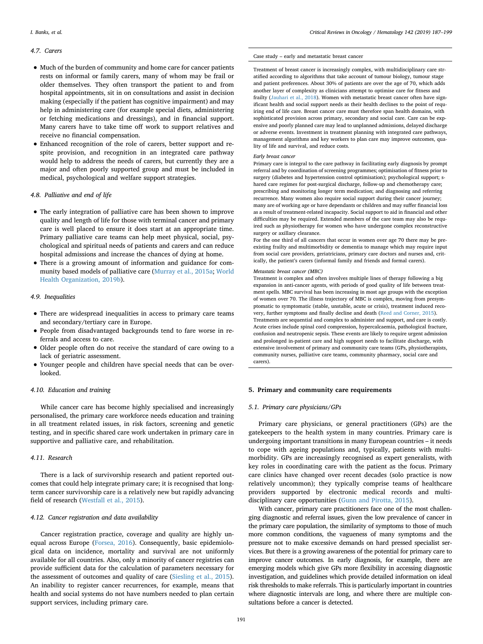#### *4.7. Carers*

- Much of the burden of community and home care for cancer patients rests on informal or family carers, many of whom may be frail or older themselves. They often transport the patient to and from hospital appointments, sit in on consultations and assist in decision making (especially if the patient has cognitive impairment) and may help in administering care (for example special diets, administering or fetching medications and dressings), and in financial support. Many carers have to take time off work to support relatives and receive no financial compensation.
- Enhanced recognition of the role of carers, better support and respite provision, and recognition in an integrated care pathway would help to address the needs of carers, but currently they are a major and often poorly supported group and must be included in medical, psychological and welfare support strategies.

# *4.8. Palliative and end of life*

- The early integration of palliative care has been shown to improve quality and length of life for those with terminal cancer and primary care is well placed to ensure it does start at an appropriate time. Primary palliative care teams can help meet physical, social, psychological and spiritual needs of patients and carers and can reduce hospital admissions and increase the chances of dying at home.
- There is a growing amount of information and guidance for community based models of palliative care [\(Murray et al., 2015a;](#page-11-13) [World](#page-12-7) [Health Organization, 2019b\)](#page-12-7).

## *4.9. Inequalities*

- There are widespread inequalities in access to primary care teams and secondary/tertiary care in Europe.
- People from disadvantaged backgrounds tend to fare worse in referrals and access to care.
- Older people often do not receive the standard of care owing to a lack of geriatric assessment.
- Younger people and children have special needs that can be overlooked.

## *4.10. Education and training*

While cancer care has become highly specialised and increasingly personalised, the primary care workforce needs education and training in all treatment related issues, in risk factors, screening and genetic testing, and in specific shared care work undertaken in primary care in supportive and palliative care, and rehabilitation.

# *4.11. Research*

There is a lack of survivorship research and patient reported outcomes that could help integrate primary care; it is recognised that longterm cancer survivorship care is a relatively new but rapidly advancing field of research ([Westfall et al., 2015\)](#page-12-8).

## *4.12. Cancer registration and data availability*

Cancer registration practice, coverage and quality are highly unequal across Europe ([Forsea, 2016](#page-10-19)). Consequently, basic epidemiological data on incidence, mortality and survival are not uniformly available for all countries. Also, only a minority of cancer registries can provide sufficient data for the calculation of parameters necessary for the assessment of outcomes and quality of care [\(Siesling et al., 2015](#page-11-14)). An inability to register cancer recurrences, for example, means that health and social systems do not have numbers needed to plan certain support services, including primary care.

# Case study – early and metastatic breast cancer

Treatment of breast cancer is increasingly complex, with multidisciplinary care stratified according to algorithms that take account of tumour biology, tumour stage and patient preferences. About 30% of patients are over the age of 70, which adds another layer of complexity as clinicians attempt to optimise care for fitness and frailty [\(Jauhari et al., 2018](#page-10-20)). Women with metastatic breast cancer often have significant health and social support needs as their health declines to the point of requiring end of life care. Breast cancer care must therefore span health domains, with sophisticated provision across primary, secondary and social care. Care can be expensive and poorly planned care may lead to unplanned admissions, delayed discharge or adverse events. Investment in treatment planning with integrated care pathways, management algorithms and key workers to plan care may improve outcomes, quality of life and survival, and reduce costs.

#### *Early breast cancer*

Primary care is integral to the care pathway in facilitating early diagnosis by prompt referral and by coordination of screening programmes; optimisation of fitness prior to surgery (diabetes and hypertension control optimisation); psychological support; shared care regimes for post-surgical discharge, follow-up and chemotherapy care; prescribing and monitoring longer term medication; and diagnosing and referring recurrence. Many women also require social support during their cancer journey; many are of working age or have dependants or children and may suffer financial loss as a result of treatment-related incapacity. Social support to aid in financial and other difficulties may be required. Extended members of the care team may also be required such as physiotherapy for women who have undergone complex reconstructive surgery or axillary clearance.

For the one third of all cancers that occur in women over age 70 there may be preexisting frailty and multimorbidity or dementia to manage which may require input from social care providers, geriatricians, primary care doctors and nurses and, critically, the patient's carers (informal family and friends and formal carers).

#### *Metastatic breast cancer (MBC)*

Treatment is complex and often involves multiple lines of therapy following a big expansion in anti-cancer agents, with periods of good quality of life between treatment spells. MBC survival has been increasing in most age groups with the exception of women over 70. The illness trajectory of MBC is complex, moving from presymptomatic to symptomatic (stable, unstable, acute or crisis), treatment induced recovery, further symptoms and finally decline and death [\(Reed and Corner, 2015](#page-11-15)). Treatments are sequential and complex to administer and support, and care is costly. Acute crises include spinal cord compression, hypercalcaemia, pathological fracture, confusion and neutropenic sepsis. These events are likely to require urgent admission and prolonged in-patient care and high support needs to facilitate discharge, with extensive involvement of primary and community care teams (GPs, physiotherapists, community nurses, palliative care teams, community pharmacy, social care and carers).

#### **5. Primary and community care requirements**

## *5.1. Primary care physicians/GPs*

Primary care physicians, or general practitioners (GPs) are the gatekeepers to the health system in many countries. Primary care is undergoing important transitions in many European countries – it needs to cope with ageing populations and, typically, patients with multimorbidity. GPs are increasingly recognised as expert generalists, with key roles in coordinating care with the patient as the focus. Primary care clinics have changed over recent decades (solo practice is now relatively uncommon); they typically comprise teams of healthcare providers supported by electronic medical records and multidisciplinary care opportunities ([Gunn and Pirotta, 2015](#page-10-21)).

With cancer, primary care practitioners face one of the most challenging diagnostic and referral issues, given the low prevalence of cancer in the primary care population, the similarity of symptoms to those of much more common conditions, the vagueness of many symptoms and the pressure not to make excessive demands on hard pressed specialist services. But there is a growing awareness of the potential for primary care to improve cancer outcomes. In early diagnosis, for example, there are emerging models which give GPs more flexibility in accessing diagnostic investigation, and guidelines which provide detailed information on ideal risk thresholds to make referrals. This is particularly important in countries where diagnostic intervals are long, and where there are multiple consultations before a cancer is detected.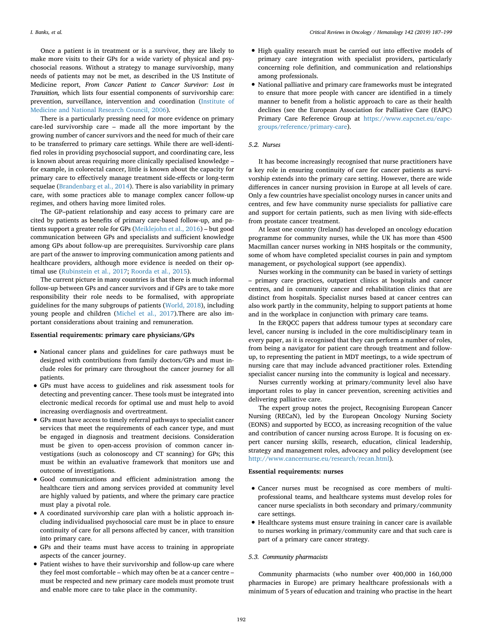Once a patient is in treatment or is a survivor, they are likely to make more visits to their GPs for a wide variety of physical and psychosocial reasons. Without a strategy to manage survivorship, many needs of patients may not be met, as described in the US Institute of Medicine report, *From Cancer Patient to Cancer Survivor: Lost in Transition,* which lists four essential components of survivorship care: prevention, surveillance, intervention and coordination [\(Institute of](#page-10-22) [Medicine and National Research Council, 2006](#page-10-22)).

There is a particularly pressing need for more evidence on primary care-led survivorship care – made all the more important by the growing number of cancer survivors and the need for much of their care to be transferred to primary care settings. While there are well-identified roles in providing psychosocial support, and coordinating care, less is known about areas requiring more clinically specialised knowledge – for example, in colorectal cancer, little is known about the capacity for primary care to effectively manage treatment side-effects or long-term sequelae ([Brandenbarg et al., 2014\)](#page-10-23). There is also variability in primary care, with some practices able to manage complex cancer follow-up regimes, and others having more limited roles.

The GP–patient relationship and easy access to primary care are cited by patients as benefits of primary care‐based follow‐up, and patients support a greater role for GPs [\(Meiklejohn et al., 2016\)](#page-11-16) – but good communication between GPs and specialists and sufficient knowledge among GPs about follow‐up are prerequisites. Survivorship care plans are part of the answer to improving communication among patients and healthcare providers, although more evidence is needed on their optimal use ([Rubinstein et al., 2017](#page-11-17); [Roorda et al., 2015\)](#page-11-18).

The current picture in many countries is that there is much informal follow-up between GPs and cancer survivors and if GPs are to take more responsibility their role needs to be formalised, with appropriate guidelines for the many subgroups of patients ([World, 2018](#page-12-9)), including young people and children ([Michel et al., 2017\)](#page-11-19).There are also important considerations about training and remuneration.

## **Essential requirements: primary care physicians/GPs**

- National cancer plans and guidelines for care pathways must be designed with contributions from family doctors/GPs and must include roles for primary care throughout the cancer journey for all patients.
- GPs must have access to guidelines and risk assessment tools for detecting and preventing cancer. These tools must be integrated into electronic medical records for optimal use and must help to avoid increasing overdiagnosis and overtreatment.
- GPs must have access to timely referral pathways to specialist cancer services that meet the requirements of each cancer type, and must be engaged in diagnosis and treatment decisions. Consideration must be given to open-access provision of common cancer investigations (such as colonoscopy and CT scanning) for GPs; this must be within an evaluative framework that monitors use and outcome of investigations.
- Good communications and efficient administration among the healthcare tiers and among services provided at community level are highly valued by patients, and where the primary care practice must play a pivotal role.
- A coordinated survivorship care plan with a holistic approach including individualised psychosocial care must be in place to ensure continuity of care for all persons affected by cancer, with transition into primary care.
- GPs and their teams must have access to training in appropriate aspects of the cancer journey.
- Patient wishes to have their survivorship and follow-up care where they feel most comfortable – which may often be at a cancer centre – must be respected and new primary care models must promote trust and enable more care to take place in the community.
- High quality research must be carried out into effective models of primary care integration with specialist providers, particularly concerning role definition, and communication and relationships among professionals.
- National palliative and primary care frameworks must be integrated to ensure that more people with cancer are identified in a timely manner to benefit from a holistic approach to care as their health declines (see the European Association for Palliative Care (EAPC) Primary Care Reference Group at [https://www.eapcnet.eu/eapc](https://www.eapcnet.eu/eapc-groups/reference/primary-care)[groups/reference/primary-care](https://www.eapcnet.eu/eapc-groups/reference/primary-care)).

#### *5.2. Nurses*

It has become increasingly recognised that nurse practitioners have a key role in ensuring continuity of care for cancer patients as survivorship extends into the primary care setting. However, there are wide differences in cancer nursing provision in Europe at all levels of care. Only a few countries have specialist oncology nurses in cancer units and centres, and few have community nurse specialists for palliative care and support for certain patients, such as men living with side-effects from prostate cancer treatment.

At least one country (Ireland) has developed an oncology education programme for community nurses, while the UK has more than 4500 Macmillan cancer nurses working in NHS hospitals or the community, some of whom have completed specialist courses in pain and symptom management, or psychological support (see appendix).

Nurses working in the community can be based in variety of settings – primary care practices, outpatient clinics at hospitals and cancer centres, and in community cancer and rehabilitation clinics that are distinct from hospitals. Specialist nurses based at cancer centres can also work partly in the community, helping to support patients at home and in the workplace in conjunction with primary care teams.

In the ERQCC papers that address tumour types at secondary care level, cancer nursing is included in the core multidisciplinary team in every paper, as it is recognised that they can perform a number of roles, from being a navigator for patient care through treatment and followup, to representing the patient in MDT meetings, to a wide spectrum of nursing care that may include advanced practitioner roles. Extending specialist cancer nursing into the community is logical and necessary.

Nurses currently working at primary/community level also have important roles to play in cancer prevention, screening activities and delivering palliative care.

The expert group notes the project, Recognising European Cancer Nursing (RECaN), led by the European Oncology Nursing Society (EONS) and supported by ECCO, as increasing recognition of the value and contribution of cancer nursing across Europe. It is focusing on expert cancer nursing skills, research, education, clinical leadership, strategy and management roles, advocacy and policy development (see <http://www.cancernurse.eu/research/recan.html>).

#### **Essential requirements: nurses**

- Cancer nurses must be recognised as core members of multiprofessional teams, and healthcare systems must develop roles for cancer nurse specialists in both secondary and primary/community care settings.
- Healthcare systems must ensure training in cancer care is available to nurses working in primary/community care and that such care is part of a primary care cancer strategy.

#### *5.3. Community pharmacists*

Community pharmacists (who number over 400,000 in 160,000 pharmacies in Europe) are primary healthcare professionals with a minimum of 5 years of education and training who practise in the heart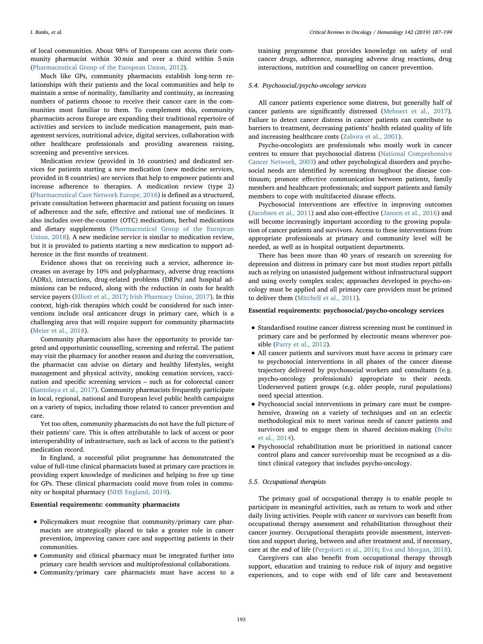of local communities. About 98% of Europeans can access their community pharmacist within 30 min and over a third within 5 min ([Pharmaceutical Group of the European Union, 2012](#page-11-20)).

Much like GPs, community pharmacists establish long-term relationships with their patients and the local communities and help to maintain a sense of normality, familiarity and continuity, as increasing numbers of patients choose to receive their cancer care in the communities most familiar to them. To complement this, community pharmacists across Europe are expanding their traditional repertoire of activities and services to include medication management, pain management services, nutritional advice, digital services, collaboration with other healthcare professionals and providing awareness raising, screening and preventive services.

Medication review (provided in 16 countries) and dedicated services for patients starting a new medication (new medicine services, provided in 8 countries) are services that help to empower patients and increase adherence to therapies. A medication review (type 2) ([Pharmaceutical Care Network Europe, 2016\)](#page-11-21) is defined as a structured, private consultation between pharmacist and patient focusing on issues of adherence and the safe, effective and rational use of medicines. It also includes over-the-counter (OTC) medications, herbal medications and dietary supplements ([Pharmaceutical Group of the European](#page-11-22) [Union, 2018\)](#page-11-22). A new medicine service is similar to medication review, but it is provided to patients starting a new medication to support adherence in the first months of treatment.

Evidence shows that on receiving such a service, adherence increases on average by 10% and polypharmacy, adverse drug reactions (ADRs), interactions, drug-related problems (DRPs) and hospital admissions can be reduced, along with the reduction in costs for health service payers [\(Elliott et al., 2017;](#page-10-24) [Irish Pharmacy Union, 2017](#page-10-25)). In this context, high-risk therapies which could be considered for such interventions include oral anticancer drugs in primary care, which is a challenging area that will require support for community pharmacists ([Meier et al., 2018](#page-11-23)).

Community pharmacists also have the opportunity to provide targeted and opportunistic counselling, screening and referral. The patient may visit the pharmacy for another reason and during the conversation, the pharmacist can advise on dietary and healthy lifestyles, weight management and physical activity, smoking cessation services, vaccination and specific screening services – such as for colorectal cancer ([Santolaya et al., 2017\)](#page-11-24). Community pharmacists frequently participate in local, regional, national and European level public health campaigns on a variety of topics, including those related to cancer prevention and care.

Yet too often, community pharmacists do not have the full picture of their patients' care. This is often attributable to lack of access or poor interoperability of infrastructure, such as lack of access to the patient's medication record.

In England, a successful pilot programme has demonstrated the value of full-time clinical pharmacists based at primary care practices in providing expert knowledge of medicines and helping to free up time for GPs. These clinical pharmacists could move from roles in community or hospital pharmacy ([NHS England, 2019\)](#page-11-25).

# **Essential requirements: community pharmacists**

- Policymakers must recognise that community/primary care pharmacists are strategically placed to take a greater role in cancer prevention, improving cancer care and supporting patients in their communities.
- Community and clinical pharmacy must be integrated further into primary care health services and multiprofessional collaborations.
- Community/primary care pharmacists must have access to a

training programme that provides knowledge on safety of oral cancer drugs, adherence, managing adverse drug reactions, drug interactions, nutrition and counselling on cancer prevention.

## *5.4. Psychosocial/psycho-oncology services*

All cancer patients experience some distress, but generally half of cancer patients are significantly distressed [\(Mehnert et al., 2017](#page-11-26)). Failure to detect cancer distress in cancer patients can contribute to barriers to treatment, decreasing patients' health related quality of life and increasing healthcare costs [\(Zabora et al., 2001](#page-12-10)).

Psycho-oncologists are professionals who mostly work in cancer centres to ensure that psychosocial distress ([National Comprehensive](#page-11-27) [Cancer Network, 2003\)](#page-11-27) and other psychological disorders and psychosocial needs are identified by screening throughout the disease continuum; promote effective communication between patients, family members and healthcare professionals; and support patients and family members to cope with multifaceted disease effects.

Psychosocial interventions are effective in improving outcomes ([Jacobsen et al., 2011](#page-10-26)) and also cost-effective ([Jansen et al., 2016](#page-10-27)) and will become increasingly important according to the growing population of cancer patients and survivors. Access to these interventions from appropriate professionals at primary and community level will be needed, as well as in hospital outpatient departments.

There has been more than 40 years of research on screening for depression and distress in primary care but most studies report pitfalls such as relying on unassisted judgement without infrastructural support and using overly complex scales; approaches developed in psycho-oncology must be applied and all primary care providers must be primed to deliver them [\(Mitchell et al., 2011](#page-11-28)).

# **Essential requirements: psychosocial/psycho-oncology services**

- Standardised routine cancer distress screening must be continued in primary care and be performed by electronic means wherever possible [\(Parry et al., 2012\)](#page-11-29).
- All cancer patients and survivors must have access in primary care to psychosocial interventions in all phases of the cancer disease trajectory delivered by psychosocial workers and consultants (e.g. psycho-oncology professionals) appropriate to their needs. Underserved patient groups (e.g. older people, rural populations) need special attention.
- Psychosocial social interventions in primary care must be comprehensive, drawing on a variety of techniques and on an eclectic methodological mix to meet various needs of cancer patients and survivors and to engage them in shared decision-making ([Bultz](#page-10-28) [et al., 2014](#page-10-28)).
- Psychosocial rehabilitation must be prioritised in national cancer control plans and cancer survivorship must be recognised as a distinct clinical category that includes psycho-oncology.

#### *5.5. Occupational therapists*

The primary goal of occupational therapy is to enable people to participate in meaningful activities, such as return to work and other daily living activities. People with cancer or survivors can benefit from occupational therapy assessment and rehabilitation throughout their cancer journey. Occupational therapists provide assessment, intervention and support during, between and after treatment and, if necessary, care at the end of life ([Pergolotti et al., 2016;](#page-11-30) [Eva and Morgan, 2018](#page-10-29)).

Caregivers can also benefit from occupational therapy through support, education and training to reduce risk of injury and negative experiences, and to cope with end of life care and bereavement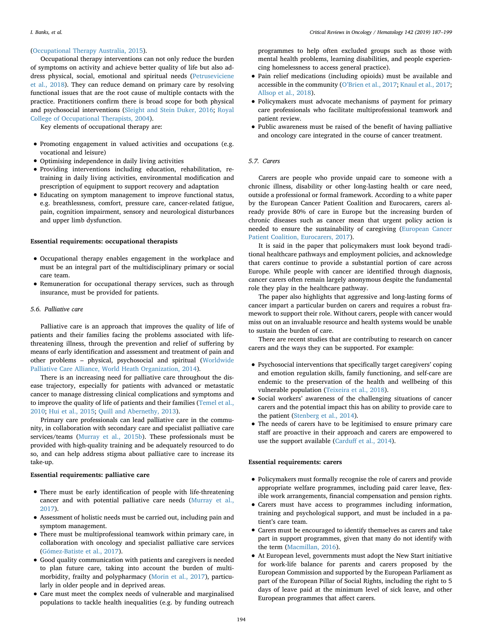### ([Occupational Therapy Australia, 2015](#page-11-31)).

Occupational therapy interventions can not only reduce the burden of symptoms on activity and achieve better quality of life but also address physical, social, emotional and spiritual needs ([Petruseviciene](#page-11-32) [et al., 2018\)](#page-11-32). They can reduce demand on primary care by resolving functional issues that are the root cause of multiple contacts with the practice. Practitioners confirm there is broad scope for both physical and psychosocial interventions [\(Sleight and Stein Duker, 2016](#page-11-33); [Royal](#page-11-34) [College of Occupational Therapists, 2004](#page-11-34)).

Key elements of occupational therapy are:

- Promoting engagement in valued activities and occupations (e.g. vocational and leisure)
- Optimising independence in daily living activities
- Providing interventions including education, rehabilitation, retraining in daily living activities, environmental modification and prescription of equipment to support recovery and adaptation
- Educating on symptom management to improve functional status, e.g. breathlessness, comfort, pressure care, cancer-related fatigue, pain, cognition impairment, sensory and neurological disturbances and upper limb dysfunction.

## **Essential requirements: occupational therapists**

- Occupational therapy enables engagement in the workplace and must be an integral part of the multidisciplinary primary or social care team.
- Remuneration for occupational therapy services, such as through insurance, must be provided for patients.

# *5.6. Palliative care*

Palliative care is an approach that improves the quality of life of patients and their families facing the problems associated with lifethreatening illness, through the prevention and relief of suffering by means of early identification and assessment and treatment of pain and other problems – physical, psychosocial and spiritual ([Worldwide](#page-12-11) [Palliative Care Alliance, World Heath Organization, 2014\)](#page-12-11).

There is an increasing need for palliative care throughout the disease trajectory, especially for patients with advanced or metastatic cancer to manage distressing clinical complications and symptoms and to improve the quality of life of patients and their families [\(Temel et al.,](#page-12-12) [2010;](#page-12-12) [Hui et al., 2015;](#page-10-30) [Quill and Abernethy, 2013](#page-11-35)).

Primary care professionals can lead palliative care in the community, in collaboration with secondary care and specialist palliative care services/teams ([Murray et al., 2015b](#page-11-36)). These professionals must be provided with high-quality training and be adequately resourced to do so, and can help address stigma about palliative care to increase its take-up.

# **Essential requirements: palliative care**

- There must be early identification of people with life-threatening cancer and with potential palliative care needs ([Murray et al.,](#page-11-37) [2017](#page-11-37)).
- Assessment of holistic needs must be carried out, including pain and symptom management.
- There must be multiprofessional teamwork within primary care, in collaboration with oncology and specialist palliative care services [\(Gómez-Batiste et al., 2017](#page-10-31)).
- Good quality communication with patients and caregivers is needed to plan future care, taking into account the burden of multimorbidity, frailty and polypharmacy ([Morin et al., 2017\)](#page-11-38), particularly in older people and in deprived areas.
- Care must meet the complex needs of vulnerable and marginalised populations to tackle health inequalities (e.g. by funding outreach

programmes to help often excluded groups such as those with mental health problems, learning disabilities, and people experiencing homelessness to access general practice).

- Pain relief medications (including opioids) must be available and accessible in the community ([O'Brien et al., 2017;](#page-11-10) [Knaul et al., 2017](#page-10-32); [Allsop et al., 2018\)](#page-10-33).
- Policymakers must advocate mechanisms of payment for primary care professionals who facilitate multiprofessional teamwork and patient review.
- Public awareness must be raised of the benefit of having palliative and oncology care integrated in the course of cancer treatment.

## *5.7. Carers*

Carers are people who provide unpaid care to someone with a chronic illness, disability or other long-lasting health or care need, outside a professional or formal framework. According to a white paper by the European Cancer Patient Coalition and Eurocarers, carers already provide 80% of care in Europe but the increasing burden of chronic diseases such as cancer mean that urgent policy action is needed to ensure the sustainability of caregiving ([European Cancer](#page-10-34) [Patient Coalition, Eurocarers, 2017\)](#page-10-34).

It is said in the paper that policymakers must look beyond traditional healthcare pathways and employment policies, and acknowledge that carers continue to provide a substantial portion of care across Europe. While people with cancer are identified through diagnosis, cancer carers often remain largely anonymous despite the fundamental role they play in the healthcare pathway.

The paper also highlights that aggressive and long-lasting forms of cancer impart a particular burden on carers and requires a robust framework to support their role. Without carers, people with cancer would miss out on an invaluable resource and health systems would be unable to sustain the burden of care.

There are recent studies that are contributing to research on cancer carers and the ways they can be supported. For example:

- Psychosocial interventions that specifically target caregivers' coping and emotion regulation skills, family functioning, and self-care are endemic to the preservation of the health and wellbeing of this vulnerable population [\(Teixeira et al., 2018](#page-11-39)).
- Social workers' awareness of the challenging situations of cancer carers and the potential impact this has on ability to provide care to the patient ([Stenberg et al., 2014\)](#page-11-40).
- The needs of carers have to be legitimised to ensure primary care staff are proactive in their approach and carers are empowered to use the support available [\(Carduff et al., 2014](#page-10-35)).

#### **Essential requirements: carers**

- Policymakers must formally recognise the role of carers and provide appropriate welfare programmes, including paid carer leave, flexible work arrangements, financial compensation and pension rights.
- Carers must have access to programmes including information, training and psychological support, and must be included in a patient's care team.
- Carers must be encouraged to identify themselves as carers and take part in support programmes, given that many do not identify with the term [\(Macmillan, 2016](#page-11-41)).
- At European level, governments must adopt the New Start initiative for work-life balance for parents and carers proposed by the European Commission and supported by the European Parliament as part of the European Pillar of Social Rights, including the right to 5 days of leave paid at the minimum level of sick leave, and other European programmes that affect carers.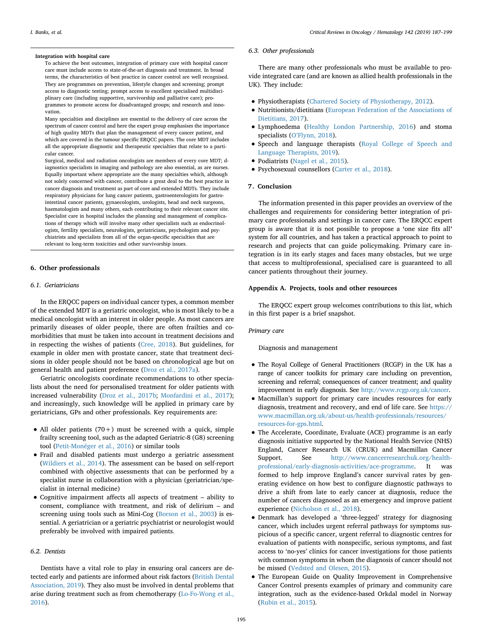#### **Integration with hospital care**

To achieve the best outcomes, integration of primary care with hospital cancer care must include access to state-of-the-art diagnosis and treatment. In broad terms, the characteristics of best practice in cancer control are well recognised. They are programmes on prevention, lifestyle changes and screening; prompt access to diagnostic testing; prompt access to excellent specialised multidisciplinary care (including supportive, survivorship and palliative care); programmes to promote access for disadvantaged groups; and research and innovation.

Many specialties and disciplines are essential to the delivery of care across the spectrum of cancer control and here the expert group emphasises the importance of high quality MDTs that plan the management of every cancer patient, and which are covered in the tumour specific ERQCC papers. The core MDT includes all the appropriate diagnostic and therapeutic specialties that relate to a particular cancer.

Surgical, medical and radiation oncologists are members of every core MDT; diagnostics specialists in imaging and pathology are also essential, as are nurses. Equally important where appropriate are the many specialties which, although not solely concerned with cancer, contribute a great deal to the best practice in cancer diagnosis and treatment as part of core and extended MDTs. They include respiratory physicians for lung cancer patients, gastroenterologists for gastrointestinal cancer patients, gynaecologists, urologists, head and neck surgeons, haematologists and many others, each contributing to their relevant cancer site. Specialist care in hospital includes the planning and management of complications of therapy which will involve many other specialists such as endocrinologists, fertility specialists, neurologists, geriatricians, psychologists and psychiatrists and specialists from all of the organ-specific specialties that are relevant to long-term toxicities and other survivorship issues.

# **6. Other professionals**

#### *6.1. Geriatricians*

In the ERQCC papers on individual cancer types, a common member of the extended MDT is a geriatric oncologist, who is most likely to be a medical oncologist with an interest in older people. As most cancers are primarily diseases of older people, there are often frailties and comorbidities that must be taken into account in treatment decisions and in respecting the wishes of patients ([Cree, 2018](#page-10-36)). But guidelines, for example in older men with prostate cancer, state that treatment decisions in older people should not be based on chronological age but on general health and patient preference [\(Droz et al., 2017a](#page-10-37)).

Geriatric oncologists coordinate recommendations to other specialists about the need for personalised treatment for older patients with increased vulnerability ([Droz et al., 2017b;](#page-10-38) [Monfardini et al., 2017](#page-11-42)); and increasingly, such knowledge will be applied in primary care by geriatricians, GPs and other professionals. Key requirements are:

- All older patients  $(70+)$  must be screened with a quick, simple frailty screening tool, such as the adapted Geriatric-8 (G8) screening tool ([Petit-Monéger et al., 2016](#page-11-43)) or similar tools
- Frail and disabled patients must undergo a geriatric assessment [\(Wildiers et al., 2014\)](#page-12-13). The assessment can be based on self-report combined with objective assessments that can be performed by a specialist nurse in collaboration with a physician (geriatrician/specialist in internal medicine)
- Cognitive impairment affects all aspects of treatment ability to consent, compliance with treatment, and risk of delirium – and screening using tools such as Mini-Cog [\(Borson et al., 2003](#page-10-39)) is essential. A geriatrician or a geriatric psychiatrist or neurologist would preferably be involved with impaired patients.

# *6.2. Dentists*

Dentists have a vital role to play in ensuring oral cancers are detected early and patients are informed about risk factors [\(British Dental](#page-10-40) [Association, 2019](#page-10-40)). They also must be involved in dental problems that arise during treatment such as from chemotherapy [\(Lo-Fo-Wong et al.,](#page-11-44) [2016\)](#page-11-44).

#### *6.3. Other professionals*

There are many other professionals who must be available to provide integrated care (and are known as allied health professionals in the UK). They include:

- Physiotherapists ([Chartered Society of Physiotherapy, 2012](#page-10-41)).
- Nutritionists/dietitians ([European Federation of the Associations of](#page-10-42) [Dietitians, 2017](#page-10-42)).
- Lymphoedema ([Healthy London Partnership, 2016\)](#page-10-43) and stoma specialists ([O'Flynn, 2018](#page-11-45)).
- Speech and language therapists ([Royal College of Speech and](#page-11-46) [Language Therapists, 2019\)](#page-11-46).
- Podiatrists [\(Nagel et al., 2015\)](#page-11-47).
- Psychosexual counsellors ([Carter et al., 2018](#page-10-44)).

# **7. Conclusion**

The information presented in this paper provides an overview of the challenges and requirements for considering better integration of primary care professionals and settings in cancer care. The ERQCC expert group is aware that it is not possible to propose a **'**one size fits all**'** system for all countries, and has taken a practical approach to point to research and projects that can guide policymaking. Primary care integration is in its early stages and faces many obstacles, but we urge that access to multiprofessional, specialised care is guaranteed to all cancer patients throughout their journey.

#### **Appendix A. Projects, tools and other resources**

The ERQCC expert group welcomes contributions to this list, which in this first paper is a brief snapshot.

#### *Primary care*

Diagnosis and management

- The Royal College of General Practitioners (RCGP) in the UK has a range of cancer toolkits for primary care including on prevention, screening and referral; consequences of cancer treatment; and quality improvement in early diagnosis. See [http://www.rcgp.org.uk/cancer.](http://www.rcgp.org.uk/cancer)
- Macmillan's support for primary care incudes resources for early diagnosis, treatment and recovery, and end of life care. See [https://](https://www.macmillan.org.uk/about-us/health-professionals/resources/resources-for-gps.html) [www.macmillan.org.uk/about-us/health-professionals/resources/](https://www.macmillan.org.uk/about-us/health-professionals/resources/resources-for-gps.html) [resources-for-gps.html.](https://www.macmillan.org.uk/about-us/health-professionals/resources/resources-for-gps.html)
- The Accelerate, Coordinate, Evaluate (ACE) programme is an early diagnosis initiative supported by the National Health Service (NHS) England, Cancer Research UK (CRUK) and Macmillan Cancer Support. See [http://www.cancerresearchuk.org/health](http://www.cancerresearchuk.org/health-professional/early-diagnosis-activities/ace-programme)[professional/early-diagnosis-activities/ace-programme.](http://www.cancerresearchuk.org/health-professional/early-diagnosis-activities/ace-programme) It was formed to help improve England's cancer survival rates by generating evidence on how best to configure diagnostic pathways to drive a shift from late to early cancer at diagnosis, reduce the number of cancers diagnosed as an emergency and improve patient experience ([Nicholson et al., 2018\)](#page-11-7).
- Denmark has developed a 'three-legged' strategy for diagnosing cancer, which includes urgent referral pathways for symptoms suspicious of a specific cancer, urgent referral to diagnostic centres for evaluation of patients with nonspecific, serious symptoms, and fast access to 'no-yes' clinics for cancer investigations for those patients with common symptoms in whom the diagnosis of cancer should not be missed ([Vedsted and Olesen, 2015\)](#page-12-14).
- The European Guide on Quality Improvement in Comprehensive Cancer Control presents examples of primary and community care integration, such as the evidence-based Orkdal model in Norway [\(Rubin et al., 2015\)](#page-11-0).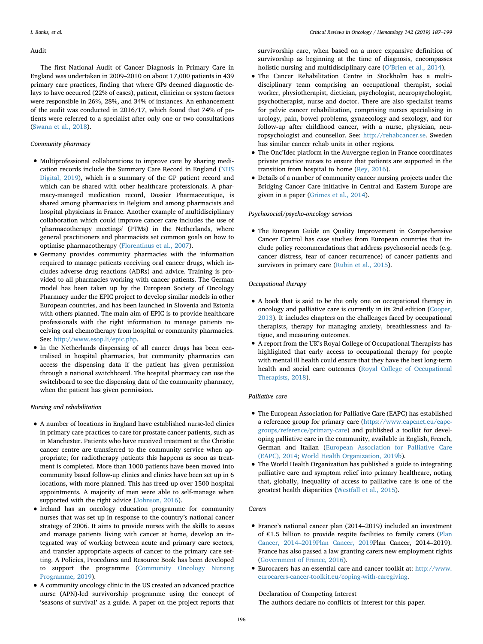#### Audit

The first National Audit of Cancer Diagnosis in Primary Care in England was undertaken in 2009–2010 on about 17,000 patients in 439 primary care practices, finding that where GPs deemed diagnostic delays to have occurred (22% of cases), patient, clinician or system factors were responsible in 26%, 28%, and 34% of instances. An enhancement of the audit was conducted in 2016/17, which found that 74% of patients were referred to a specialist after only one or two consultations ([Swann et al., 2018](#page-11-48)).

# *Community pharmacy*

- Multiprofessional collaborations to improve care by sharing medication records include the Summary Care Record in England ([NHS](#page-11-49) [Digital, 2019\)](#page-11-49), which is a summary of the GP patient record and which can be shared with other healthcare professionals. A pharmacy-managed medication record, Dossier Pharmaceutique, is shared among pharmacists in Belgium and among pharmacists and hospital physicians in France. Another example of multidisciplinary collaboration which could improve cancer care includes the use of 'pharmacotherapy meetings' (PTMs) in the Netherlands, where general practitioners and pharmacists set common goals on how to optimise pharmacotherapy [\(Florentinus et al., 2007](#page-10-45)).
- Germany provides community pharmacies with the information required to manage patients receiving oral cancer drugs, which includes adverse drug reactions (ADRs) and advice. Training is provided to all pharmacies working with cancer patients. The German model has been taken up by the European Society of Oncology Pharmacy under the EPIC project to develop similar models in other European countries, and has been launched in Slovenia and Estonia with others planned. The main aim of EPIC is to provide healthcare professionals with the right information to manage patients receiving oral chemotherapy from hospital or community pharmacies. See: [http://www.esop.li/epic.php.](http://www.esop.li/epic.php)
- In the Netherlands dispensing of all cancer drugs has been centralised in hospital pharmacies, but community pharmacies can access the dispensing data if the patient has given permission through a national switchboard. The hospital pharmacy can use the switchboard to see the dispensing data of the community pharmacy, when the patient has given permission.

## *Nursing and rehabilitation*

- A number of locations in England have established nurse-led clinics in primary care practices to care for prostate cancer patients, such as in Manchester. Patients who have received treatment at the Christie cancer centre are transferred to the community service when appropriate; for radiotherapy patients this happens as soon as treatment is completed. More than 1000 patients have been moved into community based follow-up clinics and clinics have been set up in 6 locations, with more planned. This has freed up over 1500 hospital appointments. A majority of men were able to self-manage when supported with the right advice ([Johnson, 2016\)](#page-10-46).
- Ireland has an oncology education programme for community nurses that was set up in response to the country's national cancer strategy of 2006. It aims to provide nurses with the skills to assess and manage patients living with cancer at home, develop an integrated way of working between acute and primary care sectors, and transfer appropriate aspects of cancer to the primary care setting. A Policies, Procedures and Resource Book has been developed to support the programme [\(Community Oncology Nursing](#page-10-47) [Programme, 2019](#page-10-47)).
- A community oncology clinic in the US created an advanced practice nurse (APN)-led survivorship programme using the concept of 'seasons of survival' as a guide. A paper on the project reports that

survivorship care, when based on a more expansive definition of survivorship as beginning at the time of diagnosis, encompasses holistic nursing and multidisciplinary care ([O'Brien et al., 2014\)](#page-11-50).

- The Cancer Rehabilitation Centre in Stockholm has a multidisciplinary team comprising an occupational therapist, social worker, physiotherapist, dietician, psychologist, neuropsychologist, psychotherapist, nurse and doctor. There are also specialist teams for pelvic cancer rehabilitation, comprising nurses specialising in urology, pain, bowel problems, gynaecology and sexology, and for follow-up after childhood cancer, with a nurse, physician, neuropsychologist and counsellor. See: <http://rehabcancer.se>. Sweden has similar cancer rehab units in other regions.
- The Onc'Idec platform in the Auvergne region in France coordinates private practice nurses to ensure that patients are supported in the transition from hospital to home [\(Rey, 2016](#page-11-51)).
- Details of a number of community cancer nursing projects under the Bridging Cancer Care initiative in Central and Eastern Europe are given in a paper [\(Grimes et al., 2014\)](#page-10-48).

## *Psychosocial/psycho-oncology services*

• The European Guide on Quality Improvement in Comprehensive Cancer Control has case studies from European countries that include policy recommendations that address psychosocial needs (e.g. cancer distress, fear of cancer recurrence) of cancer patients and survivors in primary care [\(Rubin et al., 2015\)](#page-11-0).

# *Occupational therapy*

- A book that is said to be the only one on occupational therapy in oncology and palliative care is currently in its 2nd edition [\(Cooper,](#page-10-49) [2013](#page-10-49)). It includes chapters on the challenges faced by occupational therapists, therapy for managing anxiety, breathlessness and fatigue, and measuring outcomes.
- A report from the UK's Royal College of Occupational Therapists has highlighted that early access to occupational therapy for people with mental ill health could ensure that they have the best long-term health and social care outcomes [\(Royal College of Occupational](#page-11-52) [Therapists, 2018\)](#page-11-52).

#### *Palliative care*

- The European Association for Palliative Care (EAPC) has established a reference group for primary care [\(https://www.eapcnet.eu/eapc](https://www.eapcnet.eu/eapc-groups/reference/primary-care)[groups/reference/primary-care](https://www.eapcnet.eu/eapc-groups/reference/primary-care)) and published a toolkit for developing palliative care in the community, available in English, French, German and Italian [\(European Association for Palliative Care](#page-10-50) [\(EAPC\), 2014;](#page-10-50) [World Health Organization, 2019b](#page-12-7)).
- The World Health Organization has published a guide to integrating palliative care and symptom relief into primary healthcare, noting that, globally, inequality of access to palliative care is one of the greatest health disparities ([Westfall et al., 2015\)](#page-12-8).

# *Carers*

- France's national cancer plan (2014–2019) included an investment of €1.5 billion to provide respite facilities to family carers [\(Plan](#page-11-53) [Cancer, 2014–2019Plan Cancer, 2019](#page-11-53)Plan Cancer, 2014–2019). France has also passed a law granting carers new employment rights [\(Government of France, 2016\)](#page-10-51).
- Eurocarers has an essential care and cancer toolkit at: [http://www.](http://www.eurocarers-cancer-toolkit.eu/coping-with-caregiving) [eurocarers-cancer-toolkit.eu/coping-with-caregiving.](http://www.eurocarers-cancer-toolkit.eu/coping-with-caregiving)

Declaration of Competing Interest

The authors declare no conflicts of interest for this paper.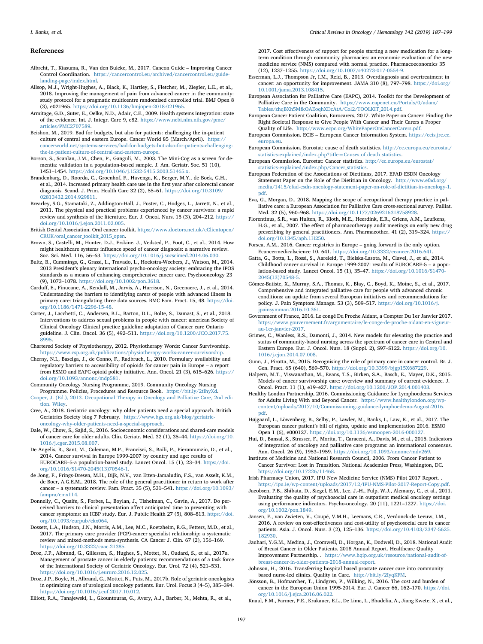#### **References**

- <span id="page-10-1"></span>Albreht, T., Kiasuma, R., Van den Bulcke, M., 2017. Cancon Guide – Improving Cancer Control Coordination. [https://cancercontrol.eu/archived/cancercontrol.eu/guide](https://cancercontrol.eu/archived/cancercontrol.eu/guide-landing-page/index.html)[landing-page/index.html.](https://cancercontrol.eu/archived/cancercontrol.eu/guide-landing-page/index.html)
- <span id="page-10-33"></span>Allsop, M.J., Wright-Hughes, A., Black, K., Hartley, S., Fletcher, M., Ziegler, L.E., et al., 2018. Improving the management of pain from advanced cancer in the community: study protocol for a pragmatic multicentre randomised controlled trial. BMJ Open 8 (3), e021965. [https://doi.org/10.1136/bmjopen-2018-021965.](https://doi.org/10.1136/bmjopen-2018-021965)
- <span id="page-10-3"></span>Armitage, G.D., Suter, E., Oelke, N.D., Adair, C.E., 2009. Health systems integration: state of the evidence. Int. J. Integr. Care 9, e82. [https://www.ncbi.nlm.nih.gov/pmc/](https://www.ncbi.nlm.nih.gov/pmc/articles/PMC2707589) [articles/PMC2707589](https://www.ncbi.nlm.nih.gov/pmc/articles/PMC2707589).
- <span id="page-10-15"></span>Beishon, M., 2019. Bad for budgets, but also for patients: challenging the in-patient culture of central and eastern Europe. Cancer World 85 (March/April). [https://](https://cancerworld.net/systems-services/bad-for-budgets-but-also-for-patients-challenging-the-in-patient-culture-of-central-and-eastern-europe) [cancerworld.net/systems-services/bad-for-budgets-but-also-for-patients-challenging](https://cancerworld.net/systems-services/bad-for-budgets-but-also-for-patients-challenging-the-in-patient-culture-of-central-and-eastern-europe)[the-in-patient-culture-of-central-and-eastern-europe](https://cancerworld.net/systems-services/bad-for-budgets-but-also-for-patients-challenging-the-in-patient-culture-of-central-and-eastern-europe).
- <span id="page-10-39"></span>Borson, S., Scanlan, J.M., Chen, P., Ganguli, M., 2003. The Mini-Cog as a screen for dementia: validation in a population-based sample. J. Am. Geriatr. Soc. 51 (10), 1451–1454. <https://doi.org/10.1046/j.1532-5415.2003.51465.x>.
- <span id="page-10-23"></span>Brandenbarg, D., Roorda, C., Groenhof, F., Havenga, K., Berger, M.Y., de Bock, G.H., et al., 2014. Increased primary health care use in the first year after colorectal cancer diagnosis. Scand. J. Prim. Health Care 32 (2), 55–61. [https://doi.org/10.3109/](https://doi.org/10.3109/02813432.2014.929811) [02813432.2014.929811.](https://doi.org/10.3109/02813432.2014.929811)
- <span id="page-10-17"></span>Brearley, S.G., Stamataki, Z., Addington-Hall, J., Foster, C., Hodges, L., Jarrett, N., et al., 2011. The physical and practical problems experienced by cancer survivors: a rapid review and synthesis of the literature. Eur. J. Oncol. Nurs. 15 (3), 204–212. [https://](https://doi.org/10.1016/j.ejon.2011.02.005) [doi.org/10.1016/j.ejon.2011.02.005.](https://doi.org/10.1016/j.ejon.2011.02.005)
- <span id="page-10-40"></span>British Dental Association. Oral cancer toolkit. [https://www.doctors.net.uk/eClientopen/](https://www.doctors.net.uk/eClientopen/CRUK/oral_cancer_toolkit_2015_open) [CRUK/oral\\_cancer\\_toolkit\\_2015\\_open](https://www.doctors.net.uk/eClientopen/CRUK/oral_cancer_toolkit_2015_open).
- <span id="page-10-4"></span>Brown, S., Castelli, M., Hunter, D.J., Erskine, J., Vedsted, P., Foot, C., et al., 2014. How might healthcare systems influence speed of cancer diagnosis: a narrative review. Soc. Sci. Med. 116, 56–63. <https://doi.org/10.1016/j.socscimed.2014.06.030>.
- <span id="page-10-28"></span>Bultz, B., Cummings, G., Grassi, L., Travado, L., Hoekstra‐Weebers, J., Watson, M., 2014. 2013 President's plenary international psycho-oncology society: embracing the IPOS standards as a means of enhancing comprehensive cancer care. Psychooncology 23 (9), 1073–1078. <https://doi.org/10.1002/pon.3618>.
- <span id="page-10-35"></span>Carduff, E., Finucane, A., Kendall, M., Jarvis, A., Harrison, N., Greenacre, J., et al., 2014. Understanding the barriers to identifying carers of people with advanced illness in primary care: triangulating three data sources. BMC Fam. Pract. 15, 48. [https://doi.](https://doi.org/10.1186/1471-2296-15-48) [org/10.1186/1471-2296-15-48.](https://doi.org/10.1186/1471-2296-15-48)
- <span id="page-10-44"></span>Carter, J., Lacchetti, C., Andersen, B.L., Barton, D.L., Bolte, S., Damast, S., et al., 2018. Interventions to address sexual problems in people with cancer: american Society of Clinical Oncology Clinical practice guideline adaptation of Cancer care Ontario guideline. J. Clin. Oncol. 36 (5), 492–511. [https://doi.org/10.1200/JCO.2017.75.](https://doi.org/10.1200/JCO.2017.75.8995) [8995.](https://doi.org/10.1200/JCO.2017.75.8995)
- <span id="page-10-41"></span>Chartered Society of Physiotherapy, 2012. Physiotherapy Words: Cancer Survivorship. [https://www.csp.org.uk/publications/physiotherapy-works-cancer-survivorship.](https://www.csp.org.uk/publications/physiotherapy-works-cancer-survivorship)
- <span id="page-10-16"></span>Cherny, N.I., Baselga, J., de Conno, F., Radbruch, L., 2010. Formulary availability and regulatory barriers to accessibility of opioids for cancer pain in Europe – a report from ESMO and EAPC opioid policy initiative. Ann. Oncol. 21 (3), 615–626. [https://](https://doi.org/10.1093/annonc/mdp581) [doi.org/10.1093/annonc/mdp581](https://doi.org/10.1093/annonc/mdp581).
- <span id="page-10-47"></span>Community Oncology Nursing Programme, 2019. Community Oncology Nursing Programme. Policies, Procedures and Resource Book. [https://bit.ly/2tIhyXd.](https://bit.ly/2tIhyXd)
- <span id="page-10-49"></span>[Cooper, J. \(Ed.\), 2013. Occupational Therapy in Oncology and Palliative Care, 2nd edi](http://refhub.elsevier.com/S1040-8428(19)30144-1/sbref0080)[tion. Wiley.](http://refhub.elsevier.com/S1040-8428(19)30144-1/sbref0080)
- <span id="page-10-36"></span>Cree, A., 2018. Geriatric oncology: why older patients need a special approach. British Geriatrics Society blog 7 February. [https://www.bgs.org.uk/blog/geriatric](https://www.bgs.org.uk/blog/geriatric-oncology-why-older-patients-need-a-special-approach)[oncology-why-older-patients-need-a-special-approach.](https://www.bgs.org.uk/blog/geriatric-oncology-why-older-patients-need-a-special-approach)
- <span id="page-10-6"></span>Dale, W., Chow, S., Sajid, S., 2016. Socioeconomic considerations and shared-care models of cancer care for older adults. Clin. Geriatr. Med. 32 (1), 35–44. [https://doi.org/10.](https://doi.org/10.1016/j.cger.2015.08.007) [1016/j.cger.2015.08.007](https://doi.org/10.1016/j.cger.2015.08.007).
- <span id="page-10-10"></span>De Angelis, R., Sant, M., Coleman, M.P., Francisci, S., Baili, P., Pierannunzio, D., et al., 2014. Cancer survival in Europe 1999-2007 by country and age: results of EUROCARE–5-a population-based study. Lancet Oncol. 15 (1), 23–34. [https://doi.](https://doi.org/10.1016/S1470-2045(13)70546-1) [org/10.1016/S1470-2045\(13\)70546-1](https://doi.org/10.1016/S1470-2045(13)70546-1).
- <span id="page-10-18"></span>de Jong, F., Frings-Dresen, M.H., Dijk, N.V., van Etten-Jamaludin, F.S., van Asselt, K.M., de Boer, A.G.E.M., 2018. The role of the general practitioner in return to work after cancer – a systematic review. Fam. Pract. 35 (5), 531–541. [https://doi.org/10.1093/](https://doi.org/10.1093/fampra/cmx114) [fampra/cmx114](https://doi.org/10.1093/fampra/cmx114).
- <span id="page-10-13"></span>Donnelly, C., Quaife, S., Forbes, L., Boylan, J., Tishelman, C., Gavin, A., 2017. Do perceived barriers to clinical presentation affect anticipated time to presenting with cancer symptoms: an ICBP study. Eur. J. Public Health 27 (5), 808–813. [https://doi.](https://doi.org/10.1093/eurpub/ckx064) [org/10.1093/eurpub/ckx064.](https://doi.org/10.1093/eurpub/ckx064)
- <span id="page-10-14"></span>Dossett, L.A., Hudson, J.N., Morris, A.M., Lee, M.C., Roetzheim, R.G., Fetters, M.D., et al., 2017. The primary care provider (PCP)-cancer specialist relationship: a systematic review and mixed-methods meta-synthesis. CA Cancer J. Clin. 67 (2), 156–169. [https://doi.org/10.3322/caac.21385.](https://doi.org/10.3322/caac.21385)
- <span id="page-10-37"></span>Droz, J.P., Albrand, G., Gillessen, S., Hughes, S., Mottet, N., Oudard, S., et al., 2017a. Management of prostate cancer in elderly patients: recommendations of a task force of the International Society of Geriatric Oncology. Eur. Urol. 72 (4), 521–531. <https://doi.org/10.1016/j.eururo.2016.12.025>.
- <span id="page-10-38"></span>Droz, J.P., Boyle, H., Albrand, G., Mottet, N., Puts, M., 2017b. Role of geriatric oncologists in optimizing care of urological oncology patients. Eur. Urol. Focus 3 (4–5), 385–394. <https://doi.org/10.1016/j.euf.2017.10.012>.

<span id="page-10-24"></span>Elliott, R.A., Tanajewski, L., Gkountouras, G., Avery, A.J., Barber, N., Mehta, R., et al.,

2017. Cost effectiveness of support for people starting a new medication for a longterm condition through community pharmacies: an economic evaluation of the new medicine service (NMS) compared with normal practice. Pharmacoeconomics 35 (12), 1237–1255. <https://doi.org/10.1007/s40273-017-0554-9>.

- <span id="page-10-2"></span>Esserman, L.J., Thompson Jr, I.M., Reid, B., 2013. Overdiagnosis and overtreatment in cancer: an opportunity for improvement. JAMA 310 (8), 797–798. [https://doi.org/](https://doi.org/10.1001/jama.2013.108415) [10.1001/jama.2013.108415](https://doi.org/10.1001/jama.2013.108415).
- <span id="page-10-50"></span>European Association for Palliative Care (EAPC), 2014. Toolkit for the Development of Palliative Care in the Community. [https://www.eapcnet.eu/Portals/0/adam/](https://www.eapcnet.eu/Portals/0/adam/Tables/zhqBXh5MfkOAEoqhXDcAtA/Col2/TOOLKIT_2014.pdf) [Tables/zhqBXh5MfkOAEoqhXDcAtA/Col2/TOOLKIT\\_2014.pdf.](https://www.eapcnet.eu/Portals/0/adam/Tables/zhqBXh5MfkOAEoqhXDcAtA/Col2/TOOLKIT_2014.pdf)
- <span id="page-10-34"></span>European Cancer Patient Coalition, Eurocarers, 2017. White Paper on Cancer: Finding the Right Societal Response to Give People With Cancer and Their Carers a Proper Quality of Life. [http://www.ecpc.org/WhitePaperOnCancerCarers.pdf.](http://www.ecpc.org/WhitePaperOnCancerCarers.pdf)
- <span id="page-10-7"></span>European Commission. ECIS – European Cancer Information System. [https://ecis.jrc.ec.](https://ecis.jrc.ec.europa.eu) [europa.eu.](https://ecis.jrc.ec.europa.eu)
- <span id="page-10-8"></span>European Commission. Eurostat: cause of death statistics. [http://ec.europa.eu/eurostat/](http://ec.europa.eu/eurostat/statistics-explained/index.php?title=Causes_of_death_statistics) [statistics-explained/index.php?title=Causes\\_of\\_death\\_statistics](http://ec.europa.eu/eurostat/statistics-explained/index.php?title=Causes_of_death_statistics).
- <span id="page-10-9"></span>European Commission. Eurostat: Cancer statistics. [http://ec.europa.eu/eurostat/](http://ec.europa.eu/eurostat/statistics-explained/index.php/Cancer_statistics) [statistics-explained/index.php/Cancer\\_statistics](http://ec.europa.eu/eurostat/statistics-explained/index.php/Cancer_statistics).
- <span id="page-10-42"></span>European Federation of the Associations of Dietitians, 2017. EFAD ESDN Oncology Statement Paper on the Role of the Dietitian in Oncology. [http://www.efad.org/](http://www.efad.org/media/1415/efad-esdn-oncology-statement-paper-on-role-of-dietitian-in-oncology-1.pdf) [media/1415/efad-esdn-oncology-statement-paper-on-role-of-dietitian-in-oncology-1.](http://www.efad.org/media/1415/efad-esdn-oncology-statement-paper-on-role-of-dietitian-in-oncology-1.pdf) [pdf.](http://www.efad.org/media/1415/efad-esdn-oncology-statement-paper-on-role-of-dietitian-in-oncology-1.pdf)
- <span id="page-10-29"></span>Eva, G., Morgan, D., 2018. Mapping the scope of occupational therapy practice in palliative care: a European Association for Palliative Care cross-sectional survey. Palliat. Med. 32 (5), 960–968. <https://doi.org/10.1177/0269216318758928>.
- <span id="page-10-45"></span>Florentinus, S.R., van Hulten, R., Kloth, M.E., Heerdink, E.R., Griens, A.M., Leufkens, H.G., et al., 2007. The effect of pharmacotherapy audit meetings on early new drug prescribing by general practitioners. Ann. Pharmacother. 41 (2), 319–324. [https://](https://doi.org/10.1345/aph.1H250) [doi.org/10.1345/aph.1H250.](https://doi.org/10.1345/aph.1H250)
- <span id="page-10-19"></span>Forsea, A.M., 2016. Cancer registries in Europe – going forward is the only option. Ecancermedicalscience 10, 641. <https://doi.org/10.3332/ecancer.2016.641>.
- <span id="page-10-11"></span>Gatta, G., Botta, L., Rossi, S., Aareleid, T., Bielska-Lasota, M., Clavel, J., et al., 2014. Childhood cancer survival in Europe 1999-2007: results of EUROCARE-5 – a population-based study. Lancet Oncol. 15 (1), 35–47. [https://doi.org/10.1016/S1470-](https://doi.org/10.1016/S1470-2045(13)70548-5) [2045\(13\)70548-5](https://doi.org/10.1016/S1470-2045(13)70548-5).
- <span id="page-10-31"></span>Gómez-Batiste, X., Murray, S.A., Thomas, K., Blay, C., Boyd, K., Moine, S., et al., 2017. Comprehensive and integrated palliative care for people with advanced chronic conditions: an update from several European initiatives and recommendations for policy. J. Pain Symptom Manage. 53 (3), 509–517. [https://doi.org/10.1016/j.](https://doi.org/10.1016/j.jpainsymman.2016.10.361) [jpainsymman.2016.10.361](https://doi.org/10.1016/j.jpainsymman.2016.10.361).
- <span id="page-10-51"></span>Government of France, 2016. Le congé Du Proche Aidant, a Compter Du 1er Janvier 2017. [https://www.gouvernement.fr/argumentaire/le-conge-de-proche-aidant-en-vigueur](https://www.gouvernement.fr/argumentaire/le-conge-de-proche-aidant-en-vigueur-au-1er-janvier-2017)[au-1er-janvier-2017.](https://www.gouvernement.fr/argumentaire/le-conge-de-proche-aidant-en-vigueur-au-1er-janvier-2017)
- <span id="page-10-48"></span>Grimes, C., Wanless, R.S., Damonti, J., 2014. New models for elevating the practice and status of community-based nursing across the spectrum of cancer care in Central and Eastern Europe. Eur. J. Oncol. Nurs. 18 (Suppl. 2), S97–S122. [https://doi.org/10.](https://doi.org/10.1016/j.ejon.2014.07.008) [1016/j.ejon.2014.07.008](https://doi.org/10.1016/j.ejon.2014.07.008).
- <span id="page-10-21"></span>Gunn, J., Pirotta, M., 2015. Recognising the role of primary care in cancer control. Br. J. Gen. Pract. 65 (640), 569–570. <https://doi.org/10.3399/bjgp15X687229>.
- <span id="page-10-5"></span>Halpern, M.T., Viswanathan, M., Evans, T.S., Birken, S.A., Basch, E., Mayer, D.K., 2015. Models of cancer survivorship care: overview and summary of current evidence. J. Oncol. Pract. 11 (1), e19–e27. [https://doi.org/10.1200/JOP.2014.001403.](https://doi.org/10.1200/JOP.2014.001403)
- <span id="page-10-43"></span>Healthy London Partnership, 2016. Commissioning Guidance for Lymphoedema Services for Adults Living With and Beyond Cancer. [https://www.healthylondon.org/wp](https://www.healthylondon.org/wp-content/uploads/2017/10/Commissioning-guidance-lymphoedema-August-2016.pdf)[content/uploads/2017/10/Commissioning-guidance-lymphoedema-August-2016.](https://www.healthylondon.org/wp-content/uploads/2017/10/Commissioning-guidance-lymphoedema-August-2016.pdf) [pdf.](https://www.healthylondon.org/wp-content/uploads/2017/10/Commissioning-guidance-lymphoedema-August-2016.pdf)
- <span id="page-10-0"></span>Højgaard, L., Löwenberg, B., Selby, P., Lawler, M., Banks, I., Law, K., et al., 2017. The European cancer patient's bill of rights, update and implementation 2016. ESMO Open 1 (6), e000127. <https://doi.org/10.1136/esmoopen-2016-000127>.
- <span id="page-10-30"></span>Hui, D., Bansal, S., Strasser, F., Morita, T., Caraceni, A., Davis, M., et al., 2015. Indicators of integration of oncology and palliative care programs: an international consensus. Ann. Oncol. 26 (9), 1953–1959. [https://doi.org/10.1093/annonc/mdv269.](https://doi.org/10.1093/annonc/mdv269)
- <span id="page-10-22"></span>Institute of Medicine and National Research Council, 2006. From Cancer Patient to Cancer Survivor: Lost in Transition. National Academies Press, Washington, DC. [https://doi.org/10.17226/11468.](https://doi.org/10.17226/11468)
- <span id="page-10-25"></span>Irish Pharmacy Union, 2017. IPU New Medicine Service (NMS) Pilot 2017 Report. . <https://ipu.ie/wp-content/uploads/2017/12/IPU-NMS-Pilot-2017-Report-Copy.pdf>.
- <span id="page-10-26"></span>Jacobsen, P.B., Shibata, D., Siegel, E.M., Lee, J.-H., Fulp, W.J., Alemany, C., et al., 2011. Evaluating the quality of psychosocial care in outpatient medical oncology settings using performance indicators. Psycho-oncology. 20 (11), 1221–1227. [https://doi.](https://doi.org/10.1002/pon.1849) [org/10.1002/pon.1849](https://doi.org/10.1002/pon.1849).
- <span id="page-10-27"></span>Jansen, F., van Zwieten, V., Coupé, V.M.H., Leemans, C.R., Verdonck-de Leeuw, I.M., 2016. A review on cost-effectiveness and cost-utility of psychosocial care in cancer patients. Asia. J. Oncol. Nurs. 3 (2), 125–136. [https://doi.org/10.4103/2347-5625.](https://doi.org/10.4103/2347-5625.182930) [182930](https://doi.org/10.4103/2347-5625.182930).
- <span id="page-10-20"></span>Jauhari, Y.G.M., Medina, J., Cromwell, D., Horgan, K., Dodwell, D., 2018. National Audit of Breast Cancer in Older Patients. 2018 Annual Report. Healthcare Quality Improvement Partnership. . [https://www.hqip.org.uk/resource/national-audit-of](https://www.hqip.org.uk/resource/national-audit-of-breast-cancer-in-older-patients-2018-annual-report)[breast-cancer-in-older-patients-2018-annual-report.](https://www.hqip.org.uk/resource/national-audit-of-breast-cancer-in-older-patients-2018-annual-report)
- <span id="page-10-46"></span>Johnson, H., 2016. Transferring hospital based prostate cancer care into community based nurse-led clinics. Quality in Care. <http://bit.ly/2IyqKFM>.
- <span id="page-10-12"></span>Jönsson, B., Hofmarcher, T., Lindgren, P., Wilking, N., 2016. The cost and burden of cancer in the European Union 1995-2014. Eur. J. Cancer 66, 162–170. [https://doi.](https://doi.org/10.1016/j.ejca.2016.06.022) [org/10.1016/j.ejca.2016.06.022.](https://doi.org/10.1016/j.ejca.2016.06.022)
- <span id="page-10-32"></span>Knaul, F.M., Farmer, P.E., Krakauer, E.L., De Lima, L., Bhadelia, A., Jiang Kwete, X., et al.,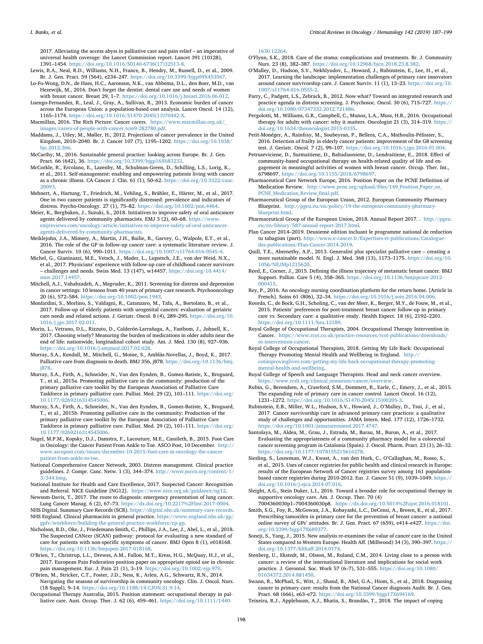2017. Alleviating the access abyss in palliative care and pain relief – an imperative of universal health coverage: the Lancet Commission report. Lancet 391 (10128), 1391–1454. [https://doi.org/10.1016/S0140-6736\(17\)32513-8.](https://doi.org/10.1016/S0140-6736(17)32513-8)

- <span id="page-11-11"></span>Lewis, R.A., Neal, R.D., Williams, N.H., France, B., Hendry, M., Russell, D., et al., 2009. Br. J. Gen. Pract. 59 (564), e234–247. [https://doi.org/10.3399/bjgp09X453567.](https://doi.org/10.3399/bjgp09X453567)
- <span id="page-11-44"></span>Lo-Fo-Wong, D.N., de Haes, H.C., Aaronson, N.K., van Abbema, D.L., den Boer, M.D., van Hezewijk, M., 2016. Don't forget the dentist: dental care use and needs of women with breast cancer. Breast 29, 1–7. <https://doi.org/10.1016/j.breast.2016.06.012>.
- <span id="page-11-4"></span>Luengo-Fernandez, R., Leal, J., Gray, A., Sullivan, R., 2013. Economic burden of cancer across the European Union: a population-based cost analysis. Lancet Oncol. 14 (12), 1165–1174. [https://doi.org/10.1016/S1470-2045\(13\)70442-X](https://doi.org/10.1016/S1470-2045(13)70442-X).
- <span id="page-11-41"></span>Macmillan, 2016. The Rich Picture: Cancer carers. [https://www.macmillan.org.uk/\\_](https://www.macmillan.org.uk/_images/carers-of-people-with-cancer_tcm9-282780.pdf) [images/carers-of-people-with-cancer\\_tcm9-282780.pdf.](https://www.macmillan.org.uk/_images/carers-of-people-with-cancer_tcm9-282780.pdf)
- <span id="page-11-6"></span>Maddams, J., Utley, M., Møller, H., 2012. Projections of cancer prevalence in the United Kingdom, 2010–2040. Br. J. Cancer 107 (7), 1195–1202. [https://doi.org/10.1038/](https://doi.org/10.1038/bjc.2012.366) [bjc.2012.366.](https://doi.org/10.1038/bjc.2012.366)
- <span id="page-11-8"></span>McCarthy, M., 2016. Sustainable general practice: looking across Europe. Br. J. Gen. Pract. 66 (642), 36. [https://doi.org/10.3399/bjgp16X683233.](https://doi.org/10.3399/bjgp16X683233)
- <span id="page-11-12"></span>McCorkle, R., Ercolano, E., Lazenby, M., Schulman-Green, D., Schilling, L.S., Lorig, K., et al., 2011. Self-management: enabling and empowering patients living with cancer as a chronic illness. CA Cancer J. Clin. 61 (1), 50–62. [https://doi.org/10.3322/caac.](https://doi.org/10.3322/caac.20093) [20093.](https://doi.org/10.3322/caac.20093)
- <span id="page-11-26"></span>Mehnert, A., Hartung, T., Friedrich, M., Vehling, S., Brähler, E., Härter, M., et al., 2017. One in two cancer patients is significantly distressed: prevalence and indicators of distress. Psycho-Oncology. 27 (1), 75–82. <https://doi.org/10.1002/pon.4464>.
- <span id="page-11-23"></span>Meier, K., Bergbaken, J., Suzuki, S., 2018. Initiatives to improve safety of oral anticancer agents delivered by community pharmacists. EMJ 3 (2), 60–68. [https://www.](https://www.emjreviews.com/oncology/article/initiatives-to-improve-safety-of-oral-anticancer-agents-delivered-by-community-pharmacists) [emjreviews.com/oncology/article/initiatives-to-improve-safety-of-oral-anticancer](https://www.emjreviews.com/oncology/article/initiatives-to-improve-safety-of-oral-anticancer-agents-delivered-by-community-pharmacists)[agents-delivered-by-community-pharmacists.](https://www.emjreviews.com/oncology/article/initiatives-to-improve-safety-of-oral-anticancer-agents-delivered-by-community-pharmacists)
- <span id="page-11-16"></span>Meiklejohn, J.A., Mimery, A., Martin, J.H., Bailie, R., Garvey, G., Walpole, E.T., et al., 2016. The role of the GP in follow-up cancer care: a systematic literature review. J. Cancer Surviv. 10 (6), 990–1011. <https://doi.org/10.1007/s11764-016-0545-4>.
- <span id="page-11-19"></span>Michel, G., Gianinazzi, M.E., Vetsch, J., Mader, L., Lupatsch, J.E., von der Weid, N.X., et al., 2017. Physicians' experience with follow-up care of childhood cancer survivors – challenges and needs. Swiss Med. 13 (147), w14457. [https://doi.org/10.4414/](https://doi.org/10.4414/smw.2017.14457) [smw.2017.14457](https://doi.org/10.4414/smw.2017.14457).
- <span id="page-11-28"></span>Mitchell, A.J., Vahabzadeh, A., Magruder, K., 2011. Screening for distress and depression in cancer settings: 10 lessons from 40 years of primary-care research. Psychooncology 20 (6), 572–584. <https://doi.org/10.1002/pon.1943>.
- <span id="page-11-42"></span>Monfardini, S., Morlino, S., Valdagni, R., Catanzaro, M., Tafa, A., Bortolato, B., et al., 2017. Follow-up of elderly patients with urogenital cancers: evaluation of geriatric care needs and related actions. J. Geriatr. Oncol. 8 (4), 289–295. [https://doi.org/10.](https://doi.org/10.1016/j.jgo.2017.02.011) [1016/j.jgo.2017.02.011](https://doi.org/10.1016/j.jgo.2017.02.011).
- <span id="page-11-38"></span>Morin, L., Vetrano, D.L., Rizzuto, D., Calderón-Larrañaga, A., Fastbom, J., Johnell, K., 2017. Choosing wisely? Measuring the burden of medications in older adults near the end of life: nationwide, longitudinal cohort study. Am. J. Med. 130 (8), 927–936. <https://doi.org/10.1016/j.amjmed.2017.02.028>.
- <span id="page-11-37"></span>Murray, S.A., Kendall, M., Mitchell, G., Moine, S., Amblàs-Novellas, J., Boyd, K., 2017. Palliative care from diagnosis to death. BMJ 356, j878. [https://doi.org/10.1136/bmj.](https://doi.org/10.1136/bmj.j878) [j878](https://doi.org/10.1136/bmj.j878).
- <span id="page-11-13"></span>Murray, S.A., Firth, A., Schneider, N., Van den Eynden, B., Gomez-Batiste, X., Brogaard, T., et al., 2015a. Promoting palliative care in the community: production of the primary palliative care toolkit by the European Association of Palliative Care Taskforce in primary palliative care. Palliat. Med. 29 (2), 101–111. [https://doi.org/](https://doi.org/10.1177/0269216314545006) [10.1177/0269216314545006](https://doi.org/10.1177/0269216314545006).
- <span id="page-11-36"></span>Murray, S.A., Firth, A., Schneider, N., Van den Eynden, B., Gomez-Batiste, X., Brogaard, T., et al., 2015b. Promoting palliative care in the community: Production of the primary palliative care toolkit by the European Association of Palliative Care Taskforce in primary palliative care. Palliat. Med. 29 (2), 101–111. [https://doi.org/](https://doi.org/10.1177/0269216314545006) [10.1177/0269216314545006](https://doi.org/10.1177/0269216314545006).
- <span id="page-11-47"></span>Nagel, M.P.M., Kopsky, D.J., Damstra, F., Lacouture, M.E., Cassileth, B., 2015. Foot Care in Oncology: the Cancer Patient From Ankle to Toe. ASCO Post, 10 December. [http://](http://www.ascopost.com/issues/december-10-2015/foot-care-in-oncology-the-cancer-patient-from-ankle-to-toe) [www.ascopost.com/issues/december-10-2015/foot-care-in-oncology-the-cancer](http://www.ascopost.com/issues/december-10-2015/foot-care-in-oncology-the-cancer-patient-from-ankle-to-toe)[patient-from-ankle-to-toe.](http://www.ascopost.com/issues/december-10-2015/foot-care-in-oncology-the-cancer-patient-from-ankle-to-toe)
- <span id="page-11-27"></span>National Comprehensive Cancer Network, 2003. Distress management. Clinical practice guidelines. J. Compr. Canc. Netw. 1 (3), 344–374. [http://www.jnccn.org/content/1/](http://www.jnccn.org/content/1/3/344.long) [3/344.long](http://www.jnccn.org/content/1/3/344.long).
- <span id="page-11-1"></span>National Institute for Health and Care Excellence, 2017. Suspected Cancer: Recognition and Referral. NICE Guideline [NG12]. [https://www.nice.org.uk/guidance/ng12.](https://www.nice.org.uk/guidance/ng12)
- <span id="page-11-2"></span>Newsom-Davis, T., 2017. The route to diagnosis: emergency presentation of lung cancer. Lung Cancer Manag. 6 (2), 67–73. [https://dx.doi.org/10.2217%2Flmt-2017-0004.](https://dx.doi.org/10.2217%2Flmt-2017-0004)
- <span id="page-11-49"></span><span id="page-11-25"></span>NHS Digital. Summary Care Records (SCR). [https://digital.nhs.uk/summary-care-records.](https://digital.nhs.uk/summary-care-records) NHS England. Clinical pharmacists in general practice. [https://www.england.nhs.uk/gp/](https://www.england.nhs.uk/gp/gpfv/workforce/building-the-general-practice-workforce/cp-gp) [gpfv/workforce/building-the-general-practice-workforce/cp-gp.](https://www.england.nhs.uk/gp/gpfv/workforce/building-the-general-practice-workforce/cp-gp)
- <span id="page-11-7"></span>Nicholson, B.D., Oke, J., Friedemann Smith, C., Phillips, J.A., Lee, J., Abel, L., et al., 2018. The Suspected CANcer (SCAN) pathway: protocol for evaluating a new standard of care for patients with non-specific symptoms of cancer. BMJ Open 8 (1), e018168. [https://doi.org/10.1136/bmjopen-2017-018168.](https://doi.org/10.1136/bmjopen-2017-018168)
- <span id="page-11-10"></span>O'Brien, T., Christrup, L.L., Drewes, A.M., Fallon, M.T., Kress, H.G., McQuay, H.J., et al., 2017. European Pain Federation position paper on appropriate opioid use in chronic pain management. Eur. J. Pain 21 (1), 3–19. [https://doi.org/10.1002/ejp.970.](https://doi.org/10.1002/ejp.970)
- <span id="page-11-50"></span>O'Brien, M., Stricker, C.T., Foster, J.D., Ness, K., Arlen, A.G., Schwartz, R.N., 2014. Navigating the seasons of survivorship in community oncology. Clin. J. Oncol. Nurs. (18 Suppl), 9–14. [https://doi.org/10.1188/14.CJON.S1.9-14.](https://doi.org/10.1188/14.CJON.S1.9-14)
- <span id="page-11-31"></span>Occupational Therapy Australia, 2015. Position statement: occupational therapy in palliative care. Aust. Occup. Ther. J. 62 (6), 459–461. [https://doi.org/10.1111/1440-](https://doi.org/10.1111/1440-1630.12264)

*I. Banks, et al. Critical Reviews in Oncology / Hematology 142 (2019) 187–199*

[1630.12264.](https://doi.org/10.1111/1440-1630.12264)

- <span id="page-11-45"></span>O'Flynn, S.K., 2018. Care of the stoma: complications and treatments. Br. J. Community Nurs. 23 (8), 382–387. <https://doi.org/10.12968/bjcn.2018.23.8.382>.
- <span id="page-11-3"></span>O'Malley, D., Hudson, S.V., Nekhlyudov, L., Howard, J., Rubinstein, E., Lee, H., et al., 2017. Learning the landscape: implementation challenges of primary care innovators around cancer survivorship care. J. Cancer Surviv. 11 (1), 13–23. [https://doi.org/10.](https://doi.org/10.1007/s11764-016-0555-2) [1007/s11764-016-0555-2](https://doi.org/10.1007/s11764-016-0555-2).
- <span id="page-11-29"></span>Parry, C., Padgett, L.S., Zebrack, B., 2012. Now what? Toward an integrated research and practice agenda in distress screening. J. Psychosoc. Oncol. 30 (6), 715–727. [https://](https://doi.org/10.1080/07347332.2012.721486) [doi.org/10.1080/07347332.2012.721486](https://doi.org/10.1080/07347332.2012.721486).
- <span id="page-11-30"></span>Pergolotti, M., Williams, G.R., Campbell, C., Munoz, L.A., Muss, H.B., 2016. Occupational therapy for adults with cancer: why it matters. Oncologist 21 (3), 314–319. [https://](https://doi.org/10.1634/theoncologist.2015-0335) [doi.org/10.1634/theoncologist.2015-0335.](https://doi.org/10.1634/theoncologist.2015-0335)
- <span id="page-11-43"></span>Petit-Monéger, A., Rainfray, M., Soubeyran, P., Bellera, C.A., Mathoulin-Pélissier, S., 2016. Detection of frailty in elderly cancer patients: improvement of the G8 screening test. J. Geriatr. Oncol. 7 (2), 99–107. [https://doi.org/10.1016/j.jgo.2016.01.004.](https://doi.org/10.1016/j.jgo.2016.01.004)
- <span id="page-11-32"></span>Petruseviciene, D., Surmaitiene, D., Baltaduoniene, D., Lendraitiene, E., 2018. Effect of community-based occupational therapy on health-related quality of life and engagement in meaningful activities of women with breast cancer. Occup. Ther. Int., 6798697. [https://doi.org/10.1155/2018/6798697.](https://doi.org/10.1155/2018/6798697)
- <span id="page-11-21"></span>Pharmaceutical Care Network Europe, 2016. Position Paper on the PCNE Definition of Medication Review. [http://www.pcne.org/upload/files/149\\_Position\\_Paper\\_on\\_](http://www.pcne.org/upload/files/149_Position_Paper_on_PCNE_Medication_Review_final.pdf) [PCNE\\_Medication\\_Review\\_final.pdf](http://www.pcne.org/upload/files/149_Position_Paper_on_PCNE_Medication_Review_final.pdf).
- <span id="page-11-20"></span>Pharmaceutical Group of the European Union, 2012. European Community Pharmacy Blueprint. [http://pgeu.eu/en/policy/19-the-european-community-pharmacy](http://pgeu.eu/en/policy/19-the-european-community-pharmacy-blueprint.html)[blueprint.html](http://pgeu.eu/en/policy/19-the-european-community-pharmacy-blueprint.html).
- <span id="page-11-22"></span>Pharmaceutical Group of the European Union, 2018. Annual Report 2017. . [http://pgeu.](http://pgeu.eu/en/library/587:annual-report-2017.html) [eu/en/library/587:annual-report-2017.html.](http://pgeu.eu/en/library/587:annual-report-2017.html)
- <span id="page-11-53"></span>Plan Cancer 2014–2019. Deuxieme edition incluant le programme national de reduction tu tabagism (pnrt). [http://www.e-cancer.fr/Expertises-et-publications/Catalogue](http://www.e-cancer.fr/Expertises-et-publications/Catalogue-des-publications/Plan-Cancer-2014-2019)[des-publications/Plan-Cancer-2014-2019](http://www.e-cancer.fr/Expertises-et-publications/Catalogue-des-publications/Plan-Cancer-2014-2019).
- <span id="page-11-35"></span>Quill, T.E., Abernethy, A.P., 2013. Generalist plus specialist palliative care – creating a more sustainable model. N. Engl. J. Med. 368 (13), 1173–1175. [https://doi.org/10.](https://doi.org/10.1056/NEJMp1215620) [1056/NEJMp1215620.](https://doi.org/10.1056/NEJMp1215620)
- <span id="page-11-15"></span>Reed, E., Corner, J., 2015. Defining the illness trajectory of metastatic breast cancer. BMJ Support. Palliat. Care 5 (4), 358–365. [https://doi.org/10.1136/bmjspcare-2012-](https://doi.org/10.1136/bmjspcare-2012-000415) [000415](https://doi.org/10.1136/bmjspcare-2012-000415).
- <span id="page-11-51"></span>Rey, P., 2016. An oncology nursing coordination platform for the return home. [Article in French]. Soins 61 (806), 32–34. <https://doi.org/10.1016/j.soin.2016.04.006>.
- <span id="page-11-18"></span>Roorda, C., de Bock, G.H., Scholing, C., van der Meer, K., Berger, M.Y., de Fouw, M., et al., 2015. Patients' preferences for post-treatment breast cancer follow-up in primary care vs. Secondary care: a qualitative study. Health Expect. 18 (6), 2192–2201. <https://doi.org/10.1111/hex.12189>.
- <span id="page-11-34"></span>Royal College of Occupational Therapists, 2004. Occupational Therapy Intervention in Cancer. [https://www.rcot.co.uk/practice-resources/rcot-publications/downloads/](https://www.rcot.co.uk/practice-resources/rcot-publications/downloads/ot-intervention-cancer) [ot-intervention-cancer](https://www.rcot.co.uk/practice-resources/rcot-publications/downloads/ot-intervention-cancer).
- <span id="page-11-52"></span>Royal College of Occupational Therapists, 2018. Getting My Life Back: Occupational Therapy Promoting Mental Health and Wellbeing in England. [http://](http://cotimprovinglives.com/getting-my-life-back-occupational-therapy-promoting-mental-health-and-wellbeing) [cotimprovinglives.com/getting-my-life-back-occupational-therapy-promoting](http://cotimprovinglives.com/getting-my-life-back-occupational-therapy-promoting-mental-health-and-wellbeing)[mental-health-and-wellbeing.](http://cotimprovinglives.com/getting-my-life-back-occupational-therapy-promoting-mental-health-and-wellbeing)
- <span id="page-11-46"></span>Royal College of Speech and Language Therapists. Head and neck cancer overview. [https://www.rcslt.org/clinical\\_resources/cancer/overview](https://www.rcslt.org/clinical_resources/cancer/overview).
- <span id="page-11-0"></span>Rubin, G., Berendsen, A., Crawford, S.M., Dommett, R., Earle, C., Emery, J., et al., 2015. The expanding role of primary care in cancer control. Lancet Oncol. 16 (12), 1231–1272. [https://doi.org/10.1016/S1470-2045\(15\)00205-3.](https://doi.org/10.1016/S1470-2045(15)00205-3)
- <span id="page-11-17"></span>Rubinstein, E.B., Miller, W.L., Hudson, S.V., Howard, J., O'Malley, D., Tsui, J., et al., 2017. Cancer survivorship care in advanced primary care practices: a qualitative study of challenges and opportunities. JAMA Intern. Med. 177 (12), 1726–1732. [https://doi.org/10.1001/jamainternmed.2017.4747.](https://doi.org/10.1001/jamainternmed.2017.4747)
- <span id="page-11-24"></span>Santolaya, M., Aldea, M., Grau, J., Estrada, M., Barau, M., Buron, A., et al., 2017. Evaluating the appropriateness of a community pharmacy model for a colorectal cancer screening program in Catalonia (Spain). J. Oncol. Pharm. Pract. 23 (1), 26–32. [https://doi.org/10.1177/1078155215616278.](https://doi.org/10.1177/1078155215616278)
- <span id="page-11-14"></span>Siesling, S., Louwman, W.J., Kwast, A., van den Hurk, C., O'Callaghan, M., Rosso, S., et al., 2015. Uses of cancer registries for public health and clinical research in Europe: results of the European Network of Cancer registries survey among 161 populationbased cancer registries during 2010-2012. Eur. J. Cancer 51 (9), 1039–1049. [https://](https://doi.org/10.1016/j.ejca.2014.07.016) [doi.org/10.1016/j.ejca.2014.07.016.](https://doi.org/10.1016/j.ejca.2014.07.016)
- <span id="page-11-33"></span>Sleight, A.G., Stein Duker, L.I., 2016. Toward a broader role for occupational therapy in supportive oncology care. Am. J. Occup. Ther. 70 (4)
- <span id="page-11-9"></span>7004360030p1–7004360030p8. [https://dx.doi.org/10.5014%2Fajot.2016.018101.](https://dx.doi.org/10.5014%2Fajot.2016.018101) Smith, S.G., Foy, R., McGowan, J.A., Kobayashi, L.C., DeCensi, A., Brown, K., et al., 2017.
- Prescribing tamoxifen in primary care for the prevention of breast cancer: a national online survey of GPs' attitudes. Br. J. Gen. Pract. 67 (659), e414–e427. [https://doi.](https://doi.org/10.3399/bjgp17X689377) [org/10.3399/bjgp17X689377.](https://doi.org/10.3399/bjgp17X689377)
- <span id="page-11-5"></span>Soneji, S., Yang, J., 2015. New analysis re-examines the value of cancer care in the United States compared to Western Europe. Health Aff. (Millwood) 34 (3), 390–397. [https://](https://doi.org/10.1377/hlthaff.2014.0174) [doi.org/10.1377/hlthaff.2014.0174](https://doi.org/10.1377/hlthaff.2014.0174).
- <span id="page-11-40"></span>Stenberg, U., Ekstedt, M., Olsson, M., Ruland, C.M., 2014. Living close to a person with cancer: a review of the international literature and implications for social work practice. J. Gerontol. Soc. Work 57 (6–7), 531–555. [https://doi.org/10.1080/](https://doi.org/10.1080/01634372.2014.881450) [01634372.2014.881450.](https://doi.org/10.1080/01634372.2014.881450)
- <span id="page-11-48"></span>Swann, R., McPhail, S., Witt, J., Shand, B., Abel, G.A., Hiom, S., et al., 2018. Diagnosing cancer in primary care: results from the National Cancer diagnosis Audit. Br. J. Gen. Pract. 68 (666), e63–e72. <https://doi.org/10.3399/bjgp17X694169>.
- <span id="page-11-39"></span>Teixeira, R.J., Applebaum, A.J., Bhatia, S., Brandão, T., 2018. The impact of coping